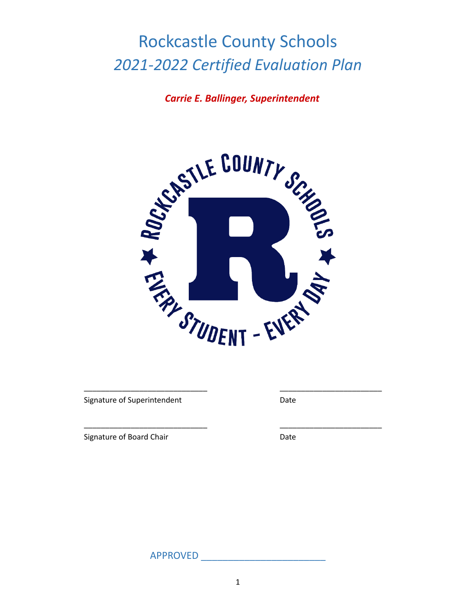# Rockcastle County Schools *2021-2022 Certified Evaluation Plan*

*Carrie E. Ballinger, Superintendent*



\_\_\_\_\_\_\_\_\_\_\_\_\_\_\_\_\_\_\_\_\_\_\_\_\_\_\_\_\_ \_\_\_\_\_\_\_\_\_\_\_\_\_\_\_\_\_\_\_\_\_\_\_\_

\_\_\_\_\_\_\_\_\_\_\_\_\_\_\_\_\_\_\_\_\_\_\_\_\_\_\_\_\_ \_\_\_\_\_\_\_\_\_\_\_\_\_\_\_\_\_\_\_\_\_\_\_\_

Signature of Superintendent and Date Date

Signature of Board Chair **Date** Date

APPROVED \_\_\_\_\_\_\_\_\_\_\_\_\_\_\_\_\_\_\_\_\_\_\_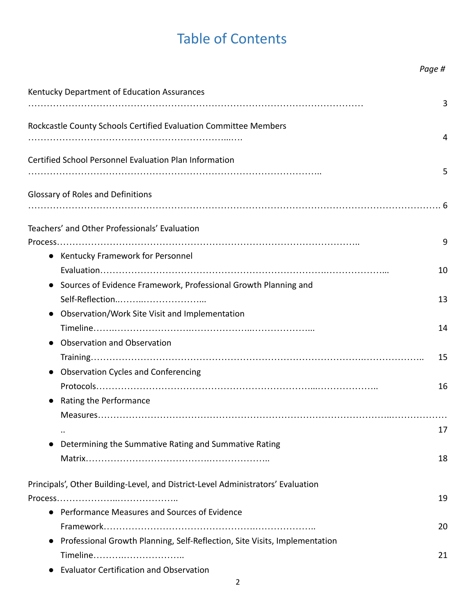# Table of Contents

|                                                                                  | Page # |
|----------------------------------------------------------------------------------|--------|
| Kentucky Department of Education Assurances                                      | 3      |
| Rockcastle County Schools Certified Evaluation Committee Members                 | 4      |
| Certified School Personnel Evaluation Plan Information                           | 5      |
| <b>Glossary of Roles and Definitions</b>                                         |        |
| Teachers' and Other Professionals' Evaluation                                    |        |
|                                                                                  | 9      |
| • Kentucky Framework for Personnel                                               | 10     |
| Sources of Evidence Framework, Professional Growth Planning and                  |        |
| Self-Reflection                                                                  | 13     |
| Observation/Work Site Visit and Implementation                                   |        |
|                                                                                  | 14     |
| <b>Observation and Observation</b>                                               |        |
|                                                                                  | 15     |
| <b>Observation Cycles and Conferencing</b>                                       |        |
|                                                                                  | 16     |
| Rating the Performance                                                           |        |
|                                                                                  |        |
|                                                                                  | 17     |
| Determining the Summative Rating and Summative Rating                            |        |
|                                                                                  | 18     |
|                                                                                  |        |
| Principals', Other Building-Level, and District-Level Administrators' Evaluation | 19     |
| • Performance Measures and Sources of Evidence                                   |        |
|                                                                                  | 20     |
| Professional Growth Planning, Self-Reflection, Site Visits, Implementation       |        |
| Timeline                                                                         | 21     |
| <b>Evaluator Certification and Observation</b>                                   |        |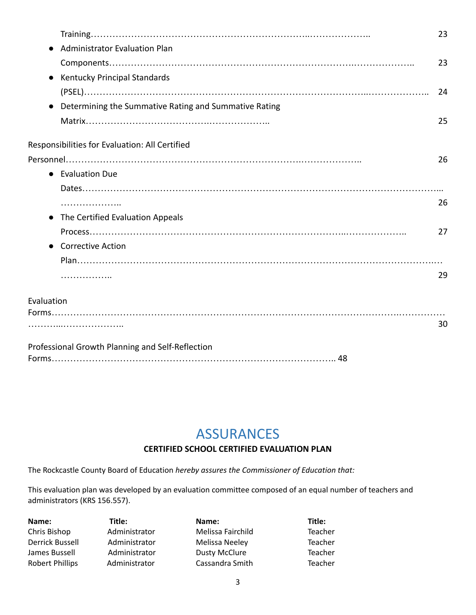|                                                       | 23 |
|-------------------------------------------------------|----|
| <b>Administrator Evaluation Plan</b>                  |    |
|                                                       | 23 |
| Kentucky Principal Standards                          |    |
|                                                       | 24 |
| Determining the Summative Rating and Summative Rating |    |
|                                                       | 25 |
| Responsibilities for Evaluation: All Certified        |    |
|                                                       | 26 |
| • Evaluation Due                                      |    |
|                                                       |    |
| .                                                     | 26 |
| • The Certified Evaluation Appeals                    |    |
|                                                       | 27 |
| <b>Corrective Action</b>                              |    |
|                                                       |    |
| .                                                     | 29 |
| Evaluation                                            |    |
|                                                       |    |
|                                                       | 30 |
| Professional Growth Planning and Self-Reflection      |    |
|                                                       |    |

## ASSURANCES

## **CERTIFIED SCHOOL CERTIFIED EVALUATION PLAN**

The Rockcastle County Board of Education *hereby assures the Commissioner of Education that:*

This evaluation plan was developed by an evaluation committee composed of an equal number of teachers and administrators (KRS 156.557).

| Name:           | Title:        | Name:             | Title:         |
|-----------------|---------------|-------------------|----------------|
| Chris Bishop    | Administrator | Melissa Fairchild | <b>Teacher</b> |
| Derrick Bussell | Administrator | Melissa Neeley    | Teacher        |
| James Bussell   | Administrator | Dusty McClure     | Teacher        |
| Robert Phillips | Administrator | Cassandra Smith   | Teacher        |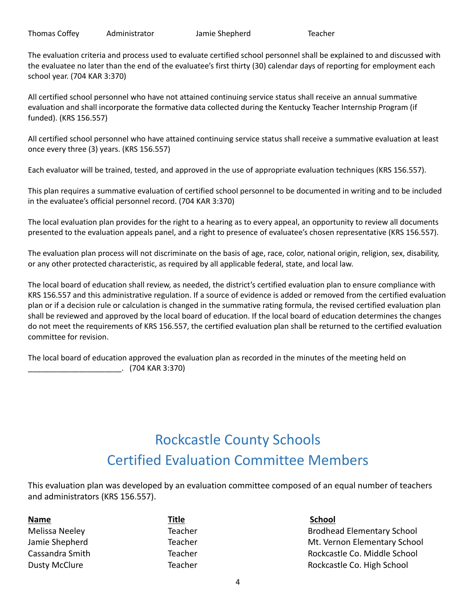The evaluation criteria and process used to evaluate certified school personnel shall be explained to and discussed with the evaluatee no later than the end of the evaluatee's first thirty (30) calendar days of reporting for employment each school year. (704 KAR 3:370)

All certified school personnel who have not attained continuing service status shall receive an annual summative evaluation and shall incorporate the formative data collected during the Kentucky Teacher Internship Program (if funded). (KRS 156.557)

All certified school personnel who have attained continuing service status shall receive a summative evaluation at least once every three (3) years. (KRS 156.557)

Each evaluator will be trained, tested, and approved in the use of appropriate evaluation techniques (KRS 156.557).

This plan requires a summative evaluation of certified school personnel to be documented in writing and to be included in the evaluatee's official personnel record. (704 KAR 3:370)

The local evaluation plan provides for the right to a hearing as to every appeal, an opportunity to review all documents presented to the evaluation appeals panel, and a right to presence of evaluatee's chosen representative (KRS 156.557).

The evaluation plan process will not discriminate on the basis of age, race, color, national origin, religion, sex, disability, or any other protected characteristic, as required by all applicable federal, state, and local law.

The local board of education shall review, as needed, the district's certified evaluation plan to ensure compliance with KRS 156.557 and this administrative regulation. If a source of evidence is added or removed from the certified evaluation plan or if a decision rule or calculation is changed in the summative rating formula, the revised certified evaluation plan shall be reviewed and approved by the local board of education. If the local board of education determines the changes do not meet the requirements of KRS 156.557, the certified evaluation plan shall be returned to the certified evaluation committee for revision.

The local board of education approved the evaluation plan as recorded in the minutes of the meeting held on \_\_\_\_\_\_\_\_\_\_\_\_\_\_\_\_\_\_\_\_\_\_. (704 KAR 3:370)

# Rockcastle County Schools Certified Evaluation Committee Members

This evaluation plan was developed by an evaluation committee composed of an equal number of teachers and administrators (KRS 156.557).

**Name Title School**

Melissa Neeley **Teacher** Teacher **Brodhead Elementary School** Jamie Shepherd Teacher Teacher Teacher Mt. Vernon Elementary School Cassandra Smith Teacher Rockcastle Co. Middle School Dusty McClure Teacher Teacher Teacher Rockcastle Co. High School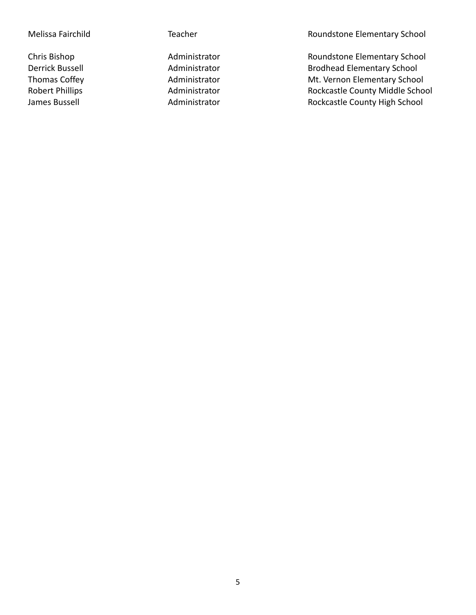Melissa Fairchild **Teacher** Teacher **Roundstone Elementary School** 

Chris Bishop **Administrator** Administrator Roundstone Elementary School **Chris** Derrick Bussell **Administrator** Administrator **Brodhead Elementary School** Thomas Coffey **Administrator** Administrator Mt. Vernon Elementary School Robert Phillips **Administrator** Administrator Rockcastle County Middle School James Bussell **Administrator** Administrator Rockcastle County High School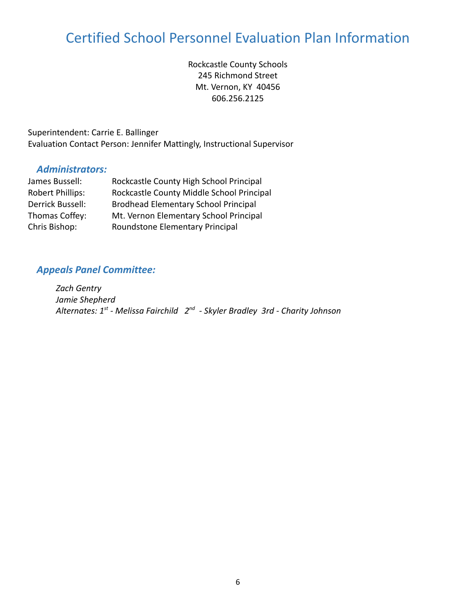# Certified School Personnel Evaluation Plan Information

Rockcastle County Schools 245 Richmond Street Mt. Vernon, KY 40456 606.256.2125

Superintendent: Carrie E. Ballinger Evaluation Contact Person: Jennifer Mattingly, Instructional Supervisor

#### *Administrators:*

| James Bussell:          | Rockcastle County High School Principal     |
|-------------------------|---------------------------------------------|
| <b>Robert Phillips:</b> | Rockcastle County Middle School Principal   |
| Derrick Bussell:        | <b>Brodhead Elementary School Principal</b> |
| Thomas Coffey:          | Mt. Vernon Elementary School Principal      |
| Chris Bishop:           | Roundstone Elementary Principal             |

## *Appeals Panel Committee:*

*Zach Gentry Jamie Shepherd Alternates: 1st - Melissa Fairchild 2nd - Skyler Bradley 3rd - Charity Johnson*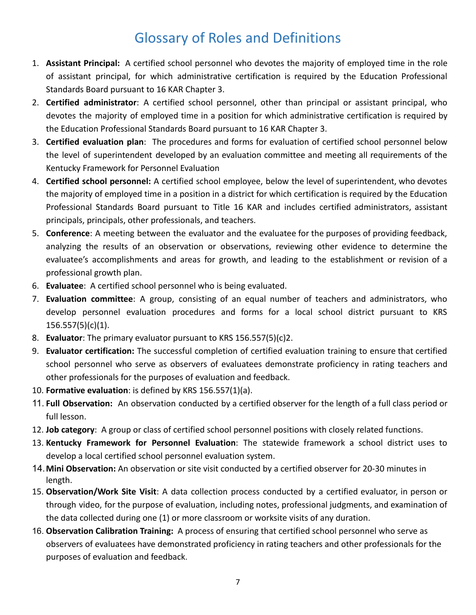# Glossary of Roles and Definitions

- 1. **Assistant Principal:** A certified school personnel who devotes the majority of employed time in the role of assistant principal, for which administrative certification is required by the Education Professional Standards Board pursuant to 16 KAR Chapter 3.
- 2. **Certified administrator**: A certified school personnel, other than principal or assistant principal, who devotes the majority of employed time in a position for which administrative certification is required by the Education Professional Standards Board pursuant to 16 KAR Chapter 3.
- 3. **Certified evaluation plan**: The procedures and forms for evaluation of certified school personnel below the level of superintendent developed by an evaluation committee and meeting all requirements of the Kentucky Framework for Personnel Evaluation
- 4. **Certified school personnel:** A certified school employee, below the level of superintendent, who devotes the majority of employed time in a position in a district for which certification is required by the Education Professional Standards Board pursuant to Title 16 KAR and includes certified administrators, assistant principals, principals, other professionals, and teachers.
- 5. **Conference**: A meeting between the evaluator and the evaluatee for the purposes of providing feedback, analyzing the results of an observation or observations, reviewing other evidence to determine the evaluatee's accomplishments and areas for growth, and leading to the establishment or revision of a professional growth plan.
- 6. **Evaluatee**: A certified school personnel who is being evaluated.
- 7. **Evaluation committee**: A group, consisting of an equal number of teachers and administrators, who develop personnel evaluation procedures and forms for a local school district pursuant to KRS 156.557(5)(c)(1).
- 8. **Evaluator**: The primary evaluator pursuant to KRS 156.557(5)(c)2.
- 9. **Evaluator certification:** The successful completion of certified evaluation training to ensure that certified school personnel who serve as observers of evaluatees demonstrate proficiency in rating teachers and other professionals for the purposes of evaluation and feedback.
- 10. **Formative evaluation**: is defined by KRS 156.557(1)(a).
- 11. **Full Observation:** An observation conducted by a certified observer for the length of a full class period or full lesson.
- 12. **Job category**: A group or class of certified school personnel positions with closely related functions.
- 13. **Kentucky Framework for Personnel Evaluation**: The statewide framework a school district uses to develop a local certified school personnel evaluation system.
- 14.**Mini Observation:** An observation or site visit conducted by a certified observer for 20-30 minutes in length.
- 15. **Observation/Work Site Visit**: A data collection process conducted by a certified evaluator, in person or through video, for the purpose of evaluation, including notes, professional judgments, and examination of the data collected during one (1) or more classroom or worksite visits of any duration.
- 16. **Observation Calibration Training:** A process of ensuring that certified school personnel who serve as observers of evaluatees have demonstrated proficiency in rating teachers and other professionals for the purposes of evaluation and feedback.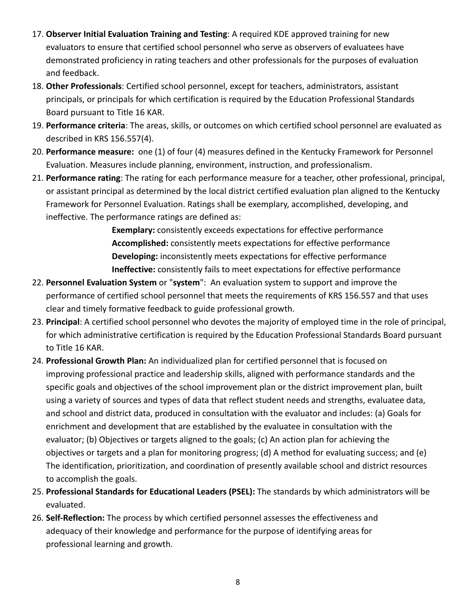- 17. **Observer Initial Evaluation Training and Testing**: A required KDE approved training for new evaluators to ensure that certified school personnel who serve as observers of evaluatees have demonstrated proficiency in rating teachers and other professionals for the purposes of evaluation and feedback.
- 18. **Other Professionals**: Certified school personnel, except for teachers, administrators, assistant principals, or principals for which certification is required by the Education Professional Standards Board pursuant to Title 16 KAR.
- 19. **Performance criteria**: The areas, skills, or outcomes on which certified school personnel are evaluated as described in KRS 156.557(4).
- 20. **Performance measure:** one (1) of four (4) measures defined in the Kentucky Framework for Personnel Evaluation. Measures include planning, environment, instruction, and professionalism.
- 21. **Performance rating**: The rating for each performance measure for a teacher, other professional, principal, or assistant principal as determined by the local district certified evaluation plan aligned to the Kentucky Framework for Personnel Evaluation. Ratings shall be exemplary, accomplished, developing, and ineffective. The performance ratings are defined as:

**Exemplary:** consistently exceeds expectations for effective performance **Accomplished:** consistently meets expectations for effective performance **Developing:** inconsistently meets expectations for effective performance **Ineffective:** consistently fails to meet expectations for effective performance

- 22. **Personnel Evaluation System** or "**system**": An evaluation system to support and improve the performance of certified school personnel that meets the requirements of KRS 156.557 and that uses clear and timely formative feedback to guide professional growth.
- 23. **Principal**: A certified school personnel who devotes the majority of employed time in the role of principal, for which administrative certification is required by the Education Professional Standards Board pursuant to Title 16 KAR.
- 24. **Professional Growth Plan:** An individualized plan for certified personnel that is focused on improving professional practice and leadership skills, aligned with performance standards and the specific goals and objectives of the school improvement plan or the district improvement plan, built using a variety of sources and types of data that reflect student needs and strengths, evaluatee data, and school and district data, produced in consultation with the evaluator and includes: (a) Goals for enrichment and development that are established by the evaluatee in consultation with the evaluator; (b) Objectives or targets aligned to the goals; (c) An action plan for achieving the objectives or targets and a plan for monitoring progress; (d) A method for evaluating success; and (e) The identification, prioritization, and coordination of presently available school and district resources to accomplish the goals.
- 25. **Professional Standards for Educational Leaders (PSEL):** The standards by which administrators will be evaluated.
- 26. **Self-Reflection:** The process by which certified personnel assesses the effectiveness and adequacy of their knowledge and performance for the purpose of identifying areas for professional learning and growth.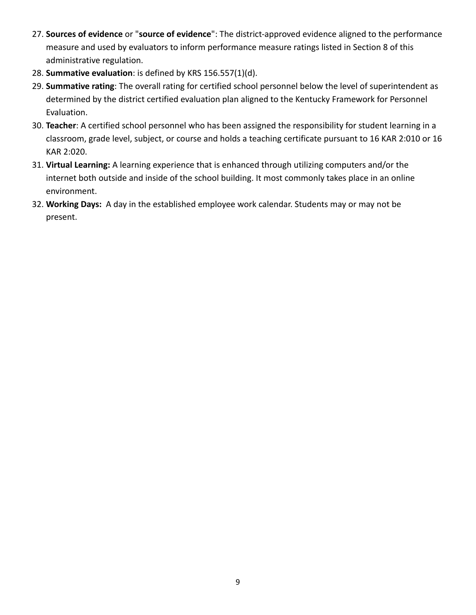- 27. **Sources of evidence** or "**source of evidence**": The district-approved evidence aligned to the performance measure and used by evaluators to inform performance measure ratings listed in Section 8 of this administrative regulation.
- 28. **Summative evaluation**: is defined by KRS 156.557(1)(d).
- 29. **Summative rating**: The overall rating for certified school personnel below the level of superintendent as determined by the district certified evaluation plan aligned to the Kentucky Framework for Personnel Evaluation.
- 30. **Teacher**: A certified school personnel who has been assigned the responsibility for student learning in a classroom, grade level, subject, or course and holds a teaching certificate pursuant to 16 KAR 2:010 or 16 KAR 2:020.
- 31. **Virtual Learning:** A learning experience that is enhanced through utilizing computers and/or the internet both outside and inside of the school building. It most commonly takes place in an online environment.
- 32. **Working Days:** A day in the established employee work calendar. Students may or may not be present.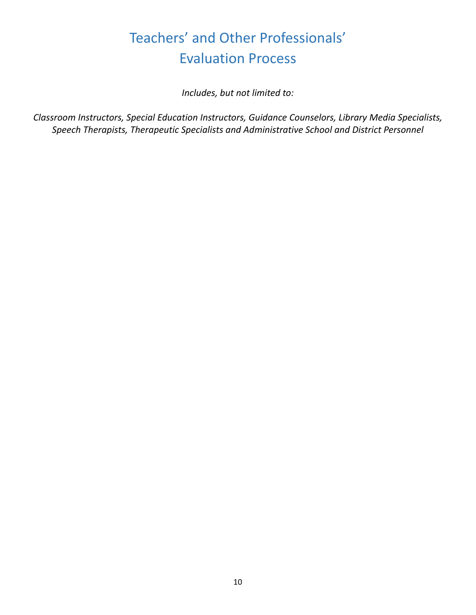# Teachers' and Other Professionals' Evaluation Process

*Includes, but not limited to:*

*Classroom Instructors, Special Education Instructors, Guidance Counselors, Library Media Specialists, Speech Therapists, Therapeutic Specialists and Administrative School and District Personnel*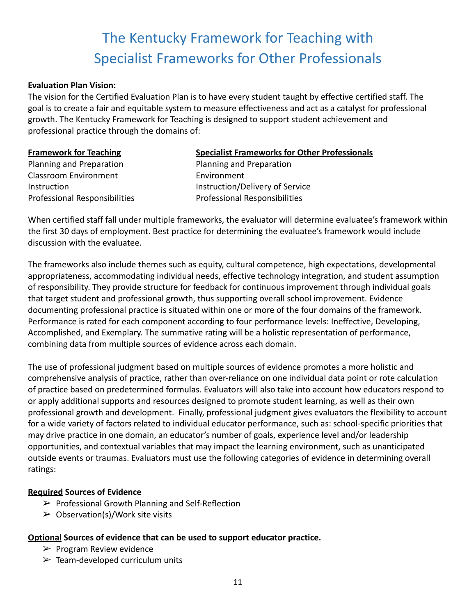# The Kentucky Framework for Teaching with Specialist Frameworks for Other Professionals

#### **Evaluation Plan Vision:**

The vision for the Certified Evaluation Plan is to have every student taught by effective certified staff. The goal is to create a fair and equitable system to measure effectiveness and act as a catalyst for professional growth. The Kentucky Framework for Teaching is designed to support student achievement and professional practice through the domains of:

| <b>Framework for Teaching</b>        | <b>Specialist Frameworks for Other Professionals</b> |
|--------------------------------------|------------------------------------------------------|
| Planning and Preparation             | Planning and Preparation                             |
| <b>Classroom Environment</b>         | Environment                                          |
| Instruction                          | Instruction/Delivery of Service                      |
| <b>Professional Responsibilities</b> | Professional Responsibilities                        |

When certified staff fall under multiple frameworks, the evaluator will determine evaluatee's framework within the first 30 days of employment. Best practice for determining the evaluatee's framework would include discussion with the evaluatee.

The frameworks also include themes such as equity, cultural competence, high expectations, developmental appropriateness, accommodating individual needs, effective technology integration, and student assumption of responsibility. They provide structure for feedback for continuous improvement through individual goals that target student and professional growth, thus supporting overall school improvement. Evidence documenting professional practice is situated within one or more of the four domains of the framework. Performance is rated for each component according to four performance levels: Ineffective, Developing, Accomplished, and Exemplary. The summative rating will be a holistic representation of performance, combining data from multiple sources of evidence across each domain.

The use of professional judgment based on multiple sources of evidence promotes a more holistic and comprehensive analysis of practice, rather than over-reliance on one individual data point or rote calculation of practice based on predetermined formulas. Evaluators will also take into account how educators respond to or apply additional supports and resources designed to promote student learning, as well as their own professional growth and development. Finally, professional judgment gives evaluators the flexibility to account for a wide variety of factors related to individual educator performance, such as: school-specific priorities that may drive practice in one domain, an educator's number of goals, experience level and/or leadership opportunities, and contextual variables that may impact the learning environment, such as unanticipated outside events or traumas. Evaluators must use the following categories of evidence in determining overall ratings:

#### **Required Sources of Evidence**

- $\triangleright$  Professional Growth Planning and Self-Reflection
- $\geq$  Observation(s)/Work site visits

#### **Optional Sources of evidence that can be used to support educator practice.**

- $\triangleright$  Program Review evidence
- $\triangleright$  Team-developed curriculum units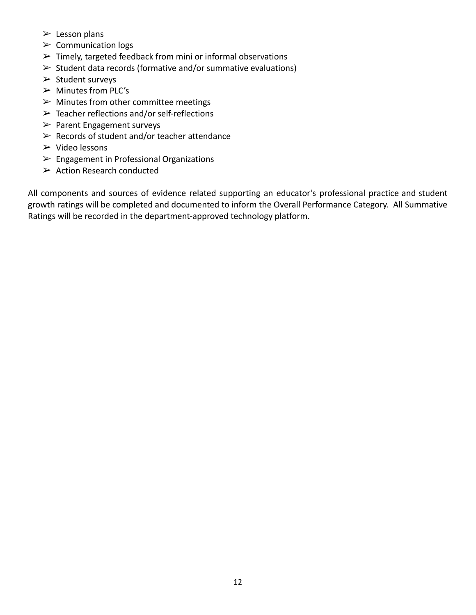- $\blacktriangleright$  Lesson plans
- $\triangleright$  Communication logs
- $\triangleright$  Timely, targeted feedback from mini or informal observations
- $\triangleright$  Student data records (formative and/or summative evaluations)
- ➢ Student surveys
- ➢ Minutes from PLC's
- ➢ Minutes from other committee meetings
- ➢ Teacher reflections and/or self-reflections
- ➢ Parent Engagement surveys
- $\triangleright$  Records of student and/or teacher attendance
- $\triangleright$  Video lessons
- $\triangleright$  Engagement in Professional Organizations
- ➢ Action Research conducted

All components and sources of evidence related supporting an educator's professional practice and student growth ratings will be completed and documented to inform the Overall Performance Category. All Summative Ratings will be recorded in the department-approved technology platform.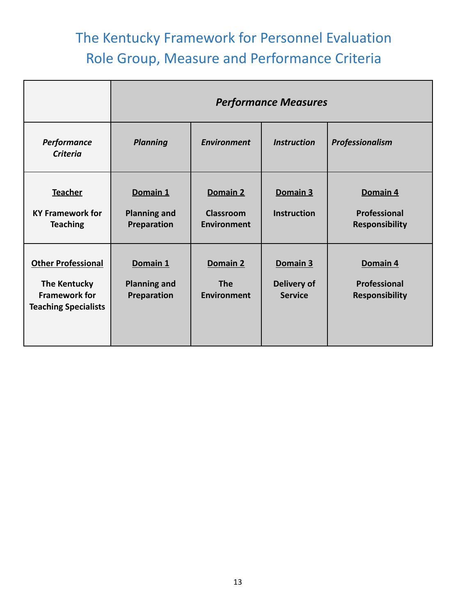# The Kentucky Framework for Personnel Evaluation Role Group, Measure and Performance Criteria

|                                                                                                  | <b>Performance Measures</b>                    |                                                    |                                                  |                                                          |
|--------------------------------------------------------------------------------------------------|------------------------------------------------|----------------------------------------------------|--------------------------------------------------|----------------------------------------------------------|
| Performance<br><b>Criteria</b>                                                                   | <b>Planning</b>                                | <b>Environment</b>                                 | <b>Instruction</b>                               | Professionalism                                          |
| <b>Teacher</b><br><b>KY Framework for</b><br><b>Teaching</b>                                     | Domain 1<br><b>Planning and</b><br>Preparation | Domain 2<br><b>Classroom</b><br><b>Environment</b> | Domain 3<br><b>Instruction</b>                   | Domain 4<br><b>Professional</b><br><b>Responsibility</b> |
| <b>Other Professional</b><br>The Kentucky<br><b>Framework for</b><br><b>Teaching Specialists</b> | Domain 1<br><b>Planning and</b><br>Preparation | Domain 2<br><b>The</b><br><b>Environment</b>       | Domain 3<br><b>Delivery of</b><br><b>Service</b> | Domain 4<br>Professional<br><b>Responsibility</b>        |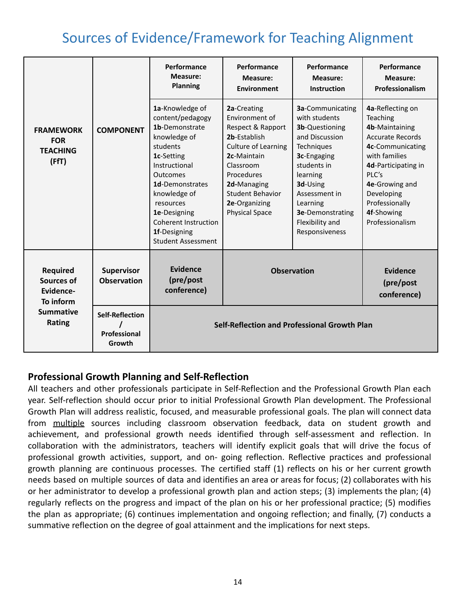# Sources of Evidence/Framework for Teaching Alignment

|                                                                  |                                                  | Performance<br>Measure:<br>Planning                                                                                                                                                                                                                                      | Performance<br>Measure:<br><b>Environment</b>                                                                                                                                                                           | Performance<br>Measure:<br><b>Instruction</b>                                                                                                                                                                                   | Performance<br>Measure:<br>Professionalism                                                                                                                                                                                               |
|------------------------------------------------------------------|--------------------------------------------------|--------------------------------------------------------------------------------------------------------------------------------------------------------------------------------------------------------------------------------------------------------------------------|-------------------------------------------------------------------------------------------------------------------------------------------------------------------------------------------------------------------------|---------------------------------------------------------------------------------------------------------------------------------------------------------------------------------------------------------------------------------|------------------------------------------------------------------------------------------------------------------------------------------------------------------------------------------------------------------------------------------|
| <b>FRAMEWORK</b><br><b>FOR</b><br><b>TEACHING</b><br>$($ FfT $)$ | <b>COMPONENT</b>                                 | 1a-Knowledge of<br>content/pedagogy<br>1b-Demonstrate<br>knowledge of<br>students<br>1c-Setting<br>Instructional<br><b>Outcomes</b><br>1d-Demonstrates<br>knowledge of<br>resources<br>1e-Designing<br>Coherent Instruction<br>1f-Designing<br><b>Student Assessment</b> | 2a-Creating<br>Environment of<br>Respect & Rapport<br>2b-Establish<br><b>Culture of Learning</b><br>2c-Maintain<br>Classroom<br>Procedures<br>2d-Managing<br><b>Student Behavior</b><br>2e-Organizing<br>Physical Space | 3a-Communicating<br>with students<br>3b-Questioning<br>and Discussion<br>Techniques<br>3c-Engaging<br>students in<br>learning<br>3d-Using<br>Assessment in<br>Learning<br>3e-Demonstrating<br>Flexibility and<br>Responsiveness | 4a-Reflecting on<br><b>Teaching</b><br>4b-Maintaining<br><b>Accurate Records</b><br>4c-Communicating<br>with families<br>4d-Participating in<br>PLC's<br>4e-Growing and<br>Developing<br>Professionally<br>4f-Showing<br>Professionalism |
| <b>Required</b><br>Sources of<br>Evidence-<br>To inform          | <b>Supervisor</b><br><b>Observation</b>          | Evidence<br>(pre/post<br>conference)                                                                                                                                                                                                                                     | <b>Observation</b><br>Evidence                                                                                                                                                                                          |                                                                                                                                                                                                                                 | (pre/post<br>conference)                                                                                                                                                                                                                 |
| <b>Summative</b><br><b>Rating</b>                                | <b>Self-Reflection</b><br>Professional<br>Growth | Self-Reflection and Professional Growth Plan                                                                                                                                                                                                                             |                                                                                                                                                                                                                         |                                                                                                                                                                                                                                 |                                                                                                                                                                                                                                          |

## **Professional Growth Planning and Self-Reflection**

All teachers and other professionals participate in Self-Reflection and the Professional Growth Plan each year. Self-reflection should occur prior to initial Professional Growth Plan development. The Professional Growth Plan will address realistic, focused, and measurable professional goals. The plan will connect data from multiple sources including classroom observation feedback, data on student growth and achievement, and professional growth needs identified through self-assessment and reflection. In collaboration with the administrators, teachers will identify explicit goals that will drive the focus of professional growth activities, support, and on- going reflection. Reflective practices and professional growth planning are continuous processes. The certified staff (1) reflects on his or her current growth needs based on multiple sources of data and identifies an area or areas for focus; (2) collaborates with his or her administrator to develop a professional growth plan and action steps; (3) implements the plan; (4) regularly reflects on the progress and impact of the plan on his or her professional practice; (5) modifies the plan as appropriate; (6) continues implementation and ongoing reflection; and finally, (7) conducts a summative reflection on the degree of goal attainment and the implications for next steps.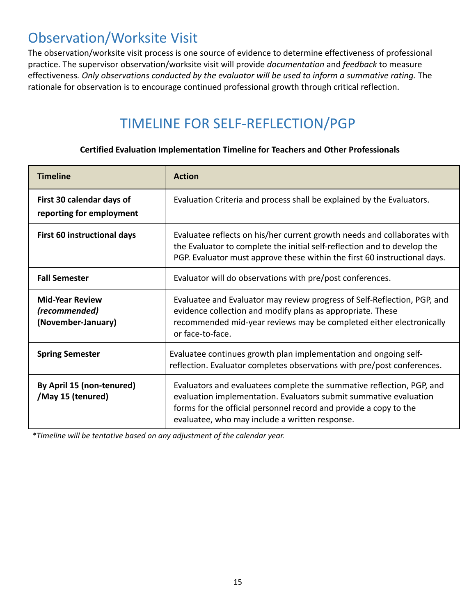# Observation/Worksite Visit

The observation/worksite visit process is one source of evidence to determine effectiveness of professional practice. The supervisor observation/worksite visit will provide *documentation* and *feedback* to measure effectiveness*. Only observations conducted by the evaluator will be used to inform a summative rating.* The rationale for observation is to encourage continued professional growth through critical reflection.

# TIMELINE FOR SELF-REFLECTION/PGP

## **Certified Evaluation Implementation Timeline for Teachers and Other Professionals**

| <b>Timeline</b>                                               | <b>Action</b>                                                                                                                                                                                                                                                     |
|---------------------------------------------------------------|-------------------------------------------------------------------------------------------------------------------------------------------------------------------------------------------------------------------------------------------------------------------|
| First 30 calendar days of<br>reporting for employment         | Evaluation Criteria and process shall be explained by the Evaluators.                                                                                                                                                                                             |
| <b>First 60 instructional days</b>                            | Evaluatee reflects on his/her current growth needs and collaborates with<br>the Evaluator to complete the initial self-reflection and to develop the<br>PGP. Evaluator must approve these within the first 60 instructional days.                                 |
| <b>Fall Semester</b>                                          | Evaluator will do observations with pre/post conferences.                                                                                                                                                                                                         |
| <b>Mid-Year Review</b><br>(recommended)<br>(November-January) | Evaluatee and Evaluator may review progress of Self-Reflection, PGP, and<br>evidence collection and modify plans as appropriate. These<br>recommended mid-year reviews may be completed either electronically<br>or face-to-face.                                 |
| <b>Spring Semester</b>                                        | Evaluatee continues growth plan implementation and ongoing self-<br>reflection. Evaluator completes observations with pre/post conferences.                                                                                                                       |
| By April 15 (non-tenured)<br>/May 15 (tenured)                | Evaluators and evaluatees complete the summative reflection, PGP, and<br>evaluation implementation. Evaluators submit summative evaluation<br>forms for the official personnel record and provide a copy to the<br>evaluatee, who may include a written response. |

*\*Timeline will be tentative based on any adjustment of the calendar year.*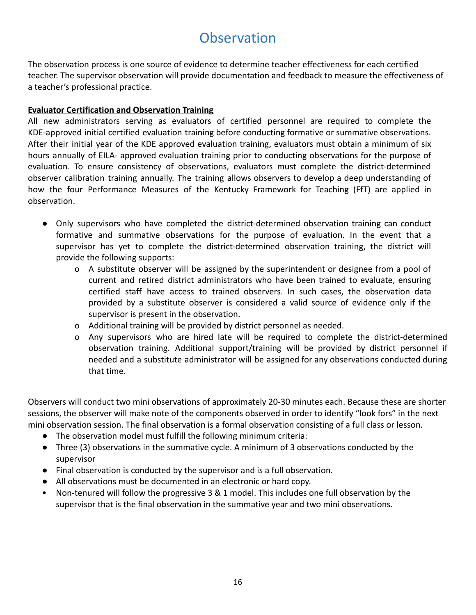# **Observation**

The observation process is one source of evidence to determine teacher effectiveness for each certified teacher. The supervisor observation will provide documentation and feedback to measure the effectiveness of a teacher's professional practice.

## **Evaluator Certification and Observation Training**

All new administrators serving as evaluators of certified personnel are required to complete the KDE-approved initial certified evaluation training before conducting formative or summative observations. After their initial year of the KDE approved evaluation training, evaluators must obtain a minimum of six hours annually of EILA- approved evaluation training prior to conducting observations for the purpose of evaluation. To ensure consistency of observations, evaluators must complete the district-determined observer calibration training annually. The training allows observers to develop a deep understanding of how the four Performance Measures of the Kentucky Framework for Teaching (FfT) are applied in observation.

- Only supervisors who have completed the district-determined observation training can conduct formative and summative observations for the purpose of evaluation. In the event that a supervisor has yet to complete the district-determined observation training, the district will provide the following supports:
	- o A substitute observer will be assigned by the superintendent or designee from a pool of current and retired district administrators who have been trained to evaluate, ensuring certified staff have access to trained observers. In such cases, the observation data provided by a substitute observer is considered a valid source of evidence only if the supervisor is present in the observation.
	- o Additional training will be provided by district personnel as needed.
	- o Any supervisors who are hired late will be required to complete the district-determined observation training. Additional support/training will be provided by district personnel if needed and a substitute administrator will be assigned for any observations conducted during that time.

Observers will conduct two mini observations of approximately 20-30 minutes each. Because these are shorter sessions, the observer will make note of the components observed in order to identify "look fors" in the next mini observation session. The final observation is a formal observation consisting of a full class or lesson.

- The observation model must fulfill the following minimum criteria:
- Three (3) observations in the summative cycle. A minimum of 3 observations conducted by the supervisor
- Final observation is conducted by the supervisor and is a full observation.
- All observations must be documented in an electronic or hard copy.
- Non-tenured will follow the progressive 3 & 1 model. This includes one full observation by the supervisor that is the final observation in the summative year and two mini observations.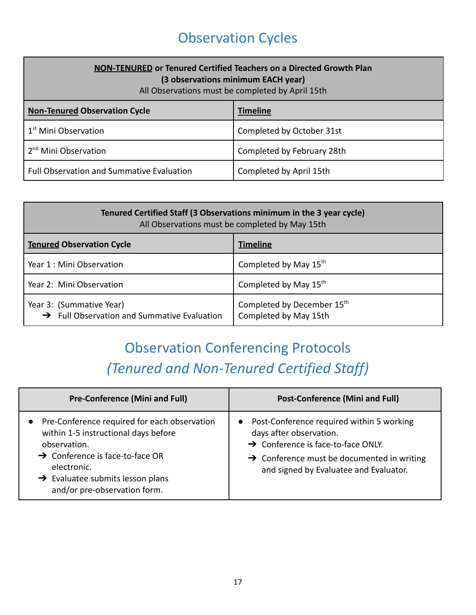# Observation Cycles

| NON-TENURED or Tenured Certified Teachers on a Directed Growth Plan<br>(3 observations minimum EACH year)<br>All Observations must be completed by April 15th |                            |  |
|---------------------------------------------------------------------------------------------------------------------------------------------------------------|----------------------------|--|
| <b>Timeline</b><br><b>Non-Tenured Observation Cycle</b>                                                                                                       |                            |  |
| 1 <sup>st</sup> Mini Observation                                                                                                                              | Completed by October 31st  |  |
| 2 <sup>nd</sup> Mini Observation                                                                                                                              | Completed by February 28th |  |
| <b>Full Observation and Summative Evaluation</b><br>Completed by April 15th                                                                                   |                            |  |

| Tenured Certified Staff (3 Observations minimum in the 3 year cycle)<br>All Observations must be completed by May 15th |                                                                 |  |
|------------------------------------------------------------------------------------------------------------------------|-----------------------------------------------------------------|--|
| <b>Tenured Observation Cycle</b>                                                                                       | Timeline                                                        |  |
| Year 1: Mini Observation                                                                                               | Completed by May 15 <sup>th</sup>                               |  |
| Year 2: Mini Observation                                                                                               | Completed by May 15 <sup>th</sup>                               |  |
| Year 3: (Summative Year)<br>$\rightarrow$ Full Observation and Summative Evaluation                                    | Completed by December 15 <sup>th</sup><br>Completed by May 15th |  |

# Observation Conferencing Protocols *(Tenured and Non-Tenured Certified Staff)*

| <b>Pre-Conference (Mini and Full)</b>                                                                                                                                                                                                              | <b>Post-Conference (Mini and Full)</b>                                                                                                                                                                                                  |
|----------------------------------------------------------------------------------------------------------------------------------------------------------------------------------------------------------------------------------------------------|-----------------------------------------------------------------------------------------------------------------------------------------------------------------------------------------------------------------------------------------|
| Pre-Conference required for each observation<br>within 1-5 instructional days before<br>observation.<br>$\rightarrow$ Conference is face-to-face OR<br>electronic.<br>$\rightarrow$ Evaluatee submits lesson plans<br>and/or pre-observation form. | Post-Conference required within 5 working<br>$\bullet$<br>days after observation.<br>$\rightarrow$ Conference is face-to-face ONLY.<br>$\rightarrow$ Conference must be documented in writing<br>and signed by Evaluatee and Evaluator. |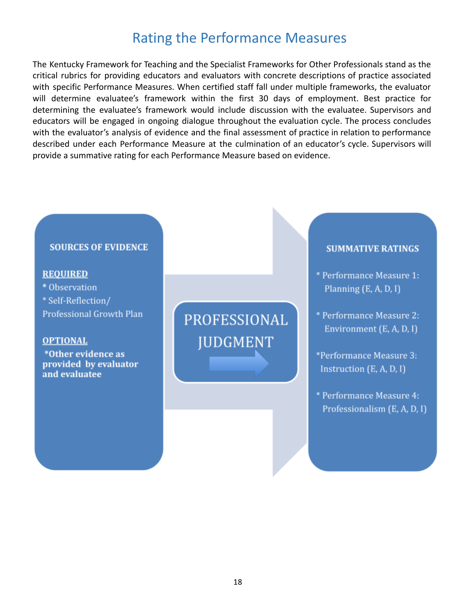## Rating the Performance Measures

The Kentucky Framework for Teaching and the Specialist Frameworks for Other Professionals stand as the critical rubrics for providing educators and evaluators with concrete descriptions of practice associated with specific Performance Measures. When certified staff fall under multiple frameworks, the evaluator will determine evaluatee's framework within the first 30 days of employment. Best practice for determining the evaluatee's framework would include discussion with the evaluatee. Supervisors and educators will be engaged in ongoing dialogue throughout the evaluation cycle. The process concludes with the evaluator's analysis of evidence and the final assessment of practice in relation to performance described under each Performance Measure at the culmination of an educator's cycle. Supervisors will provide a summative rating for each Performance Measure based on evidence.

#### **SOURCES OF EVIDENCE**

#### **REQUIRED**

\* Observation

\* Self-Reflection/ **Professional Growth Plan** 

#### **OPTIONAL**

\*Other evidence as provided by evaluator and evaluatee

**PROFESSIONAL JUDGMENT** 

#### **SUMMATIVE RATINGS**

- \* Performance Measure 1: Planning  $(E, A, D, I)$
- \* Performance Measure 2: Environment (E, A, D, I)
- \*Performance Measure 3: Instruction  $(E, A, D, I)$
- \* Performance Measure 4: Professionalism (E, A, D, I)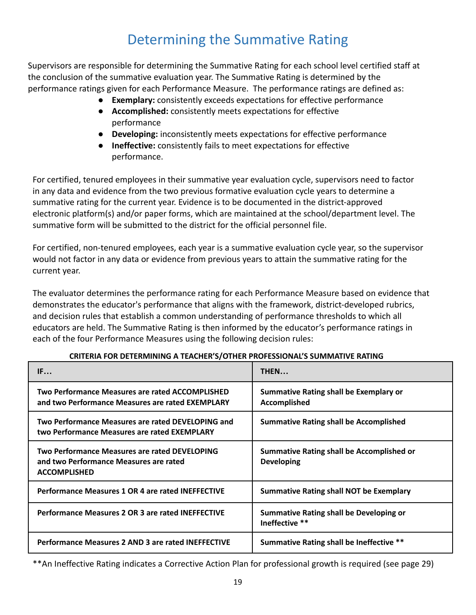# Determining the Summative Rating

Supervisors are responsible for determining the Summative Rating for each school level certified staff at the conclusion of the summative evaluation year. The Summative Rating is determined by the performance ratings given for each Performance Measure. The performance ratings are defined as:

- **Exemplary:** consistently exceeds expectations for effective performance
- **Accomplished:** consistently meets expectations for effective performance
- **Developing:** inconsistently meets expectations for effective performance
- **Ineffective:** consistently fails to meet expectations for effective performance.

For certified, tenured employees in their summative year evaluation cycle, supervisors need to factor in any data and evidence from the two previous formative evaluation cycle years to determine a summative rating for the current year. Evidence is to be documented in the district-approved electronic platform(s) and/or paper forms, which are maintained at the school/department level. The summative form will be submitted to the district for the official personnel file.

For certified, non-tenured employees, each year is a summative evaluation cycle year, so the supervisor would not factor in any data or evidence from previous years to attain the summative rating for the current year.

The evaluator determines the performance rating for each Performance Measure based on evidence that demonstrates the educator's performance that aligns with the framework, district-developed rubrics, and decision rules that establish a common understanding of performance thresholds to which all educators are held. The Summative Rating is then informed by the educator's performance ratings in each of the four Performance Measures using the following decision rules:

| IF                                                                                                             | THEN                                                           |
|----------------------------------------------------------------------------------------------------------------|----------------------------------------------------------------|
| Two Performance Measures are rated ACCOMPLISHED<br>and two Performance Measures are rated EXEMPLARY            | <b>Summative Rating shall be Exemplary or</b><br>Accomplished  |
| Two Performance Measures are rated DEVELOPING and<br>two Performance Measures are rated EXEMPLARY              | <b>Summative Rating shall be Accomplished</b>                  |
| Two Performance Measures are rated DEVELOPING<br>and two Performance Measures are rated<br><b>ACCOMPLISHED</b> | Summative Rating shall be Accomplished or<br><b>Developing</b> |
| Performance Measures 1 OR 4 are rated INEFFECTIVE                                                              | <b>Summative Rating shall NOT be Exemplary</b>                 |
| Performance Measures 2 OR 3 are rated INEFFECTIVE                                                              | Summative Rating shall be Developing or<br>Ineffective **      |
| Performance Measures 2 AND 3 are rated INEFFECTIVE                                                             | Summative Rating shall be Ineffective **                       |

#### **CRITERIA FOR DETERMINING A TEACHER'S/OTHER PROFESSIONAL'S SUMMATIVE RATING**

\*\*An Ineffective Rating indicates a Corrective Action Plan for professional growth is required (see page 29)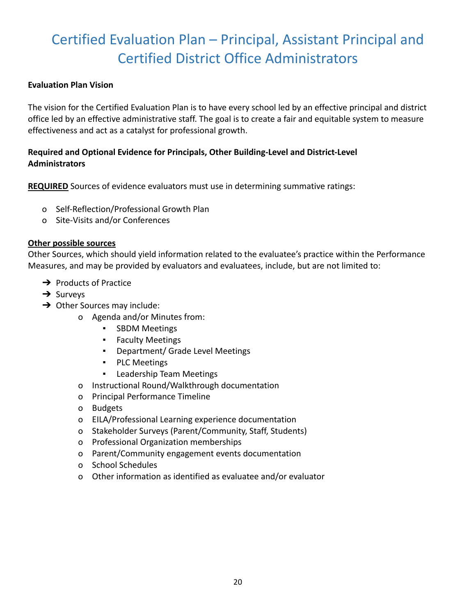# Certified Evaluation Plan – Principal, Assistant Principal and Certified District Office Administrators

## **Evaluation Plan Vision**

The vision for the Certified Evaluation Plan is to have every school led by an effective principal and district office led by an effective administrative staff. The goal is to create a fair and equitable system to measure effectiveness and act as a catalyst for professional growth.

## **Required and Optional Evidence for Principals, Other Building-Level and District-Level Administrators**

**REQUIRED** Sources of evidence evaluators must use in determining summative ratings:

- o Self-Reflection/Professional Growth Plan
- o Site-Visits and/or Conferences

## **Other possible sources**

Other Sources, which should yield information related to the evaluatee's practice within the Performance Measures, and may be provided by evaluators and evaluatees, include, but are not limited to:

- $\rightarrow$  Products of Practice
- $\rightarrow$  Surveys
- $\rightarrow$  Other Sources may include:
	- o Agenda and/or Minutes from:
		- SBDM Meetings
		- Faculty Meetings
		- Department/ Grade Level Meetings
		- PLC Meetings
		- Leadership Team Meetings
	- o Instructional Round/Walkthrough documentation
	- o Principal Performance Timeline
	- o Budgets
	- o EILA/Professional Learning experience documentation
	- o Stakeholder Surveys (Parent/Community, Staff, Students)
	- o Professional Organization memberships
	- o Parent/Community engagement events documentation
	- o School Schedules
	- o Other information as identified as evaluatee and/or evaluator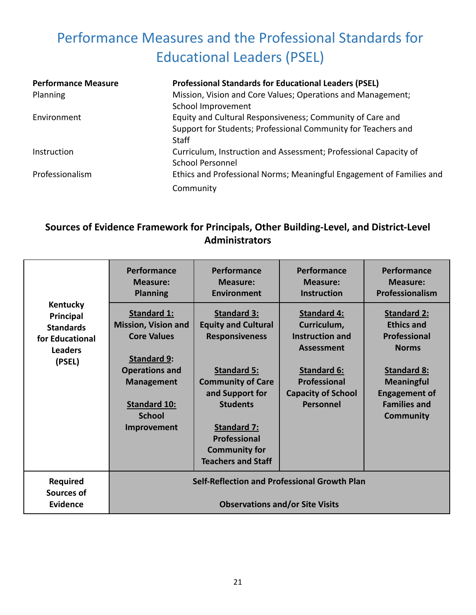# Performance Measures and the Professional Standards for Educational Leaders (PSEL)

| <b>Performance Measure</b> | <b>Professional Standards for Educational Leaders (PSEL)</b>         |
|----------------------------|----------------------------------------------------------------------|
| Planning                   | Mission, Vision and Core Values; Operations and Management;          |
|                            | School Improvement                                                   |
| Environment                | Equity and Cultural Responsiveness; Community of Care and            |
|                            | Support for Students; Professional Community for Teachers and        |
|                            | <b>Staff</b>                                                         |
| Instruction                | Curriculum, Instruction and Assessment; Professional Capacity of     |
|                            | <b>School Personnel</b>                                              |
| Professionalism            | Ethics and Professional Norms; Meaningful Engagement of Families and |
|                            | Community                                                            |

## **Sources of Evidence Framework for Principals, Other Building-Level, and District-Level Administrators**

|                                                                                          | Performance<br>Measure:<br><b>Planning</b>                                                                                                                                                        | Performance<br>Measure:<br>Environment                                                                                                                                                                                                                              | Performance<br>Measure:<br>Instruction                                                                                                                                         | <b>Performance</b><br><b>Measure:</b><br>Professionalism                                                                                                                                     |
|------------------------------------------------------------------------------------------|---------------------------------------------------------------------------------------------------------------------------------------------------------------------------------------------------|---------------------------------------------------------------------------------------------------------------------------------------------------------------------------------------------------------------------------------------------------------------------|--------------------------------------------------------------------------------------------------------------------------------------------------------------------------------|----------------------------------------------------------------------------------------------------------------------------------------------------------------------------------------------|
| Kentucky<br>Principal<br><b>Standards</b><br>for Educational<br><b>Leaders</b><br>(PSEL) | <b>Standard 1:</b><br><b>Mission, Vision and</b><br><b>Core Values</b><br><b>Standard 9:</b><br><b>Operations and</b><br><b>Management</b><br><b>Standard 10:</b><br><b>School</b><br>Improvement | <b>Standard 3:</b><br><b>Equity and Cultural</b><br><b>Responsiveness</b><br><b>Standard 5:</b><br><b>Community of Care</b><br>and Support for<br><b>Students</b><br><b>Standard 7:</b><br><b>Professional</b><br><b>Community for</b><br><b>Teachers and Staff</b> | <b>Standard 4:</b><br>Curriculum,<br><b>Instruction and</b><br><b>Assessment</b><br><b>Standard 6:</b><br><b>Professional</b><br><b>Capacity of School</b><br><b>Personnel</b> | <b>Standard 2:</b><br><b>Ethics and</b><br><b>Professional</b><br><b>Norms</b><br><b>Standard 8:</b><br><b>Meaningful</b><br><b>Engagement of</b><br><b>Families and</b><br><b>Community</b> |
| Required<br><b>Sources of</b><br><b>Evidence</b>                                         | Self-Reflection and Professional Growth Plan<br><b>Observations and/or Site Visits</b>                                                                                                            |                                                                                                                                                                                                                                                                     |                                                                                                                                                                                |                                                                                                                                                                                              |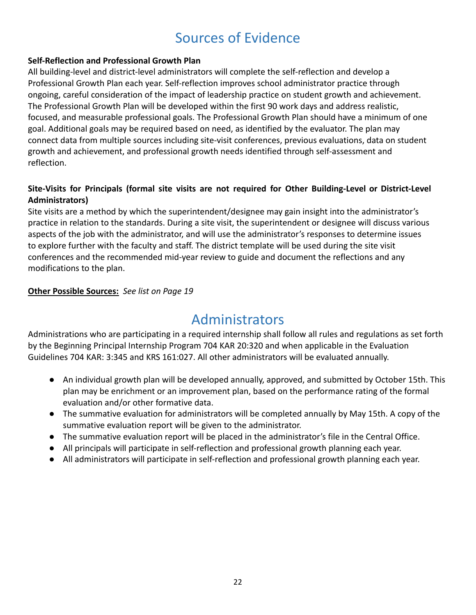# Sources of Evidence

## **Self-Reflection and Professional Growth Plan**

All building-level and district-level administrators will complete the self-reflection and develop a Professional Growth Plan each year. Self-reflection improves school administrator practice through ongoing, careful consideration of the impact of leadership practice on student growth and achievement. The Professional Growth Plan will be developed within the first 90 work days and address realistic, focused, and measurable professional goals. The Professional Growth Plan should have a minimum of one goal. Additional goals may be required based on need, as identified by the evaluator. The plan may connect data from multiple sources including site-visit conferences, previous evaluations, data on student growth and achievement, and professional growth needs identified through self-assessment and reflection.

## **Site-Visits for Principals (formal site visits are not required for Other Building-Level or District-Level Administrators)**

Site visits are a method by which the superintendent/designee may gain insight into the administrator's practice in relation to the standards. During a site visit, the superintendent or designee will discuss various aspects of the job with the administrator, and will use the administrator's responses to determine issues to explore further with the faculty and staff. The district template will be used during the site visit conferences and the recommended mid-year review to guide and document the reflections and any modifications to the plan.

## **Other Possible Sources:** *See list on Page 19*

## Administrators

Administrations who are participating in a required internship shall follow all rules and regulations as set forth by the Beginning Principal Internship Program 704 KAR 20:320 and when applicable in the Evaluation Guidelines 704 KAR: 3:345 and KRS 161:027. All other administrators will be evaluated annually.

- An individual growth plan will be developed annually, approved, and submitted by October 15th. This plan may be enrichment or an improvement plan, based on the performance rating of the formal evaluation and/or other formative data.
- The summative evaluation for administrators will be completed annually by May 15th. A copy of the summative evaluation report will be given to the administrator.
- The summative evaluation report will be placed in the administrator's file in the Central Office.
- All principals will participate in self-reflection and professional growth planning each year.
- All administrators will participate in self-reflection and professional growth planning each year.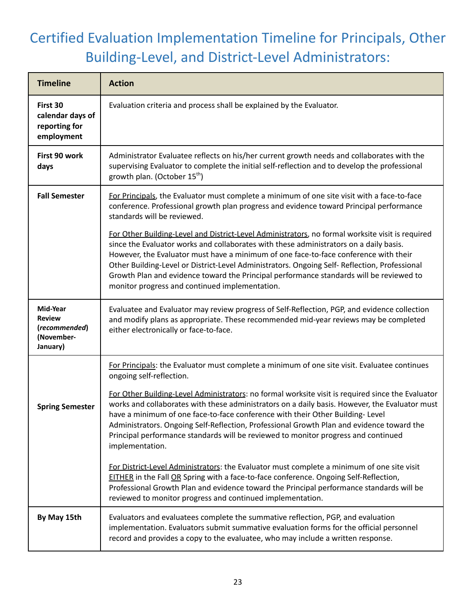# Certified Evaluation Implementation Timeline for Principals, Other Building-Level, and District-Level Administrators:

| <b>Timeline</b>                                                      | <b>Action</b>                                                                                                                                                                                                                                                                                                                                                                                                                                                                                                                   |
|----------------------------------------------------------------------|---------------------------------------------------------------------------------------------------------------------------------------------------------------------------------------------------------------------------------------------------------------------------------------------------------------------------------------------------------------------------------------------------------------------------------------------------------------------------------------------------------------------------------|
| First 30<br>calendar days of<br>reporting for<br>employment          | Evaluation criteria and process shall be explained by the Evaluator.                                                                                                                                                                                                                                                                                                                                                                                                                                                            |
| First 90 work<br>days                                                | Administrator Evaluatee reflects on his/her current growth needs and collaborates with the<br>supervising Evaluator to complete the initial self-reflection and to develop the professional<br>growth plan. (October 15 <sup>th</sup> )                                                                                                                                                                                                                                                                                         |
| <b>Fall Semester</b>                                                 | For Principals, the Evaluator must complete a minimum of one site visit with a face-to-face<br>conference. Professional growth plan progress and evidence toward Principal performance<br>standards will be reviewed.                                                                                                                                                                                                                                                                                                           |
|                                                                      | For Other Building-Level and District-Level Administrators, no formal worksite visit is required<br>since the Evaluator works and collaborates with these administrators on a daily basis.<br>However, the Evaluator must have a minimum of one face-to-face conference with their<br>Other Building-Level or District-Level Administrators. Ongoing Self-Reflection, Professional<br>Growth Plan and evidence toward the Principal performance standards will be reviewed to<br>monitor progress and continued implementation. |
| Mid-Year<br><b>Review</b><br>(recommended)<br>(November-<br>January) | Evaluatee and Evaluator may review progress of Self-Reflection, PGP, and evidence collection<br>and modify plans as appropriate. These recommended mid-year reviews may be completed<br>either electronically or face-to-face.                                                                                                                                                                                                                                                                                                  |
| <b>Spring Semester</b>                                               | For Principals: the Evaluator must complete a minimum of one site visit. Evaluatee continues<br>ongoing self-reflection.<br>For Other Building-Level Administrators: no formal worksite visit is required since the Evaluator<br>works and collaborates with these administrators on a daily basis. However, the Evaluator must<br>have a minimum of one face-to-face conference with their Other Building- Level<br>Administrators. Ongoing Self-Reflection, Professional Growth Plan and evidence toward the                  |
|                                                                      | Principal performance standards will be reviewed to monitor progress and continued<br>implementation.                                                                                                                                                                                                                                                                                                                                                                                                                           |
|                                                                      | For District-Level Administrators: the Evaluator must complete a minimum of one site visit<br>EITHER in the Fall OR Spring with a face-to-face conference. Ongoing Self-Reflection,<br>Professional Growth Plan and evidence toward the Principal performance standards will be<br>reviewed to monitor progress and continued implementation.                                                                                                                                                                                   |
| By May 15th                                                          | Evaluators and evaluatees complete the summative reflection, PGP, and evaluation<br>implementation. Evaluators submit summative evaluation forms for the official personnel<br>record and provides a copy to the evaluatee, who may include a written response.                                                                                                                                                                                                                                                                 |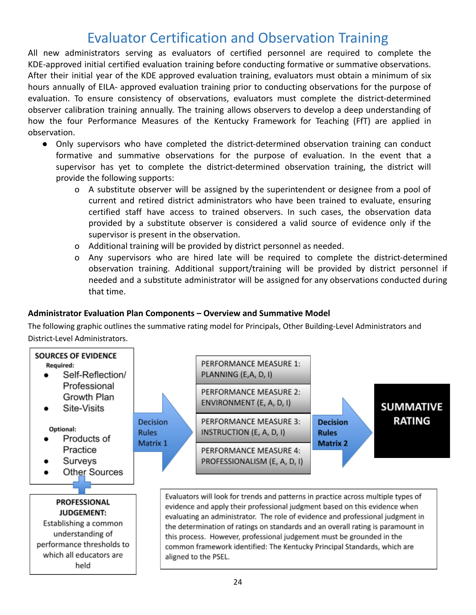## Evaluator Certification and Observation Training

All new administrators serving as evaluators of certified personnel are required to complete the KDE-approved initial certified evaluation training before conducting formative or summative observations. After their initial year of the KDE approved evaluation training, evaluators must obtain a minimum of six hours annually of EILA- approved evaluation training prior to conducting observations for the purpose of evaluation. To ensure consistency of observations, evaluators must complete the district-determined observer calibration training annually. The training allows observers to develop a deep understanding of how the four Performance Measures of the Kentucky Framework for Teaching (FfT) are applied in observation.

- Only supervisors who have completed the district-determined observation training can conduct formative and summative observations for the purpose of evaluation. In the event that a supervisor has yet to complete the district-determined observation training, the district will provide the following supports:
	- o A substitute observer will be assigned by the superintendent or designee from a pool of current and retired district administrators who have been trained to evaluate, ensuring certified staff have access to trained observers. In such cases, the observation data provided by a substitute observer is considered a valid source of evidence only if the supervisor is present in the observation.
	- o Additional training will be provided by district personnel as needed.
	- o Any supervisors who are hired late will be required to complete the district-determined observation training. Additional support/training will be provided by district personnel if needed and a substitute administrator will be assigned for any observations conducted during that time.

#### **Administrator Evaluation Plan Components – Overview and Summative Model**

The following graphic outlines the summative rating model for Principals, Other Building-Level Administrators and District-Level Administrators.

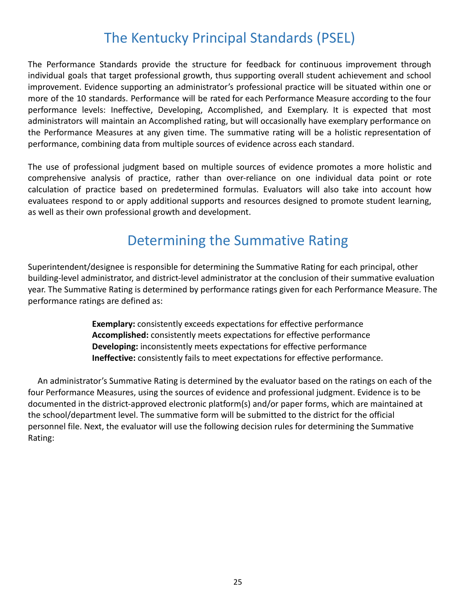# The Kentucky Principal Standards (PSEL)

The Performance Standards provide the structure for feedback for continuous improvement through individual goals that target professional growth, thus supporting overall student achievement and school improvement. Evidence supporting an administrator's professional practice will be situated within one or more of the 10 standards. Performance will be rated for each Performance Measure according to the four performance levels: Ineffective, Developing, Accomplished, and Exemplary. It is expected that most administrators will maintain an Accomplished rating, but will occasionally have exemplary performance on the Performance Measures at any given time. The summative rating will be a holistic representation of performance, combining data from multiple sources of evidence across each standard.

The use of professional judgment based on multiple sources of evidence promotes a more holistic and comprehensive analysis of practice, rather than over-reliance on one individual data point or rote calculation of practice based on predetermined formulas. Evaluators will also take into account how evaluatees respond to or apply additional supports and resources designed to promote student learning, as well as their own professional growth and development.

## Determining the Summative Rating

Superintendent/designee is responsible for determining the Summative Rating for each principal, other building-level administrator, and district-level administrator at the conclusion of their summative evaluation year. The Summative Rating is determined by performance ratings given for each Performance Measure. The performance ratings are defined as:

> **Exemplary:** consistently exceeds expectations for effective performance **Accomplished:** consistently meets expectations for effective performance **Developing:** inconsistently meets expectations for effective performance **Ineffective:** consistently fails to meet expectations for effective performance.

An administrator's Summative Rating is determined by the evaluator based on the ratings on each of the four Performance Measures, using the sources of evidence and professional judgment. Evidence is to be documented in the district-approved electronic platform(s) and/or paper forms, which are maintained at the school/department level. The summative form will be submitted to the district for the official personnel file. Next, the evaluator will use the following decision rules for determining the Summative Rating: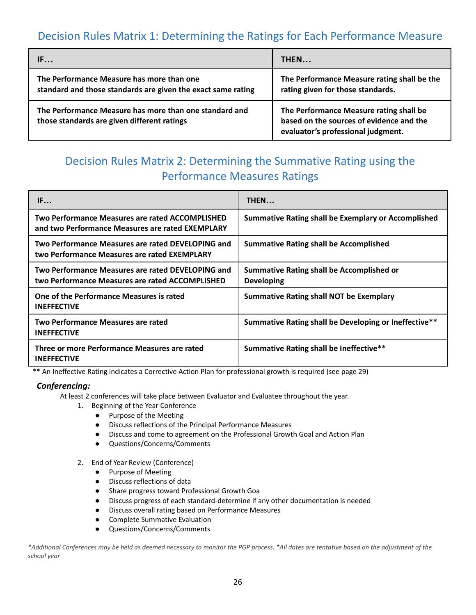## Decision Rules Matrix 1: Determining the Ratings for Each Performance Measure

| IF                                                                                                        | THEN                                                                                                                      |
|-----------------------------------------------------------------------------------------------------------|---------------------------------------------------------------------------------------------------------------------------|
| The Performance Measure has more than one<br>standard and those standards are given the exact same rating | The Performance Measure rating shall be the<br>rating given for those standards.                                          |
| The Performance Measure has more than one standard and<br>those standards are given different ratings     | The Performance Measure rating shall be<br>based on the sources of evidence and the<br>evaluator's professional judgment. |

## Decision Rules Matrix 2: Determining the Summative Rating using the Performance Measures Ratings

| IF                                                                                                   | THEN                                                           |
|------------------------------------------------------------------------------------------------------|----------------------------------------------------------------|
| Two Performance Measures are rated ACCOMPLISHED<br>and two Performance Measures are rated EXEMPLARY  | <b>Summative Rating shall be Exemplary or Accomplished</b>     |
| Two Performance Measures are rated DEVELOPING and<br>two Performance Measures are rated EXEMPLARY    | <b>Summative Rating shall be Accomplished</b>                  |
| Two Performance Measures are rated DEVELOPING and<br>two Performance Measures are rated ACCOMPLISHED | Summative Rating shall be Accomplished or<br><b>Developing</b> |
| One of the Performance Measures is rated<br><b>INEFFECTIVE</b>                                       | <b>Summative Rating shall NOT be Exemplary</b>                 |
| Two Performance Measures are rated<br><b>INEFFECTIVE</b>                                             | Summative Rating shall be Developing or Ineffective**          |
| Three or more Performance Measures are rated<br><b>INEFFECTIVE</b>                                   | Summative Rating shall be Ineffective**                        |

\*\* An Ineffective Rating indicates a Corrective Action Plan for professional growth is required (see page 29)

#### *Conferencing:*

At least 2 conferences will take place between Evaluator and Evaluatee throughout the year.

- 1. Beginning of the Year Conference
	- Purpose of the Meeting
	- Discuss reflections of the Principal Performance Measures
	- Discuss and come to agreement on the Professional Growth Goal and Action Plan
	- Questions/Concerns/Comments
- 2. End of Year Review (Conference)
	- Purpose of Meeting
	- Discuss reflections of data
	- Share progress toward Professional Growth Goa
	- Discuss progress of each standard-determine if any other documentation is needed
	- Discuss overall rating based on Performance Measures
	- Complete Summative Evaluation
	- Questions/Concerns/Comments

*\*Additional Conferences may be held as deemed necessary to monitor the PGP process. \*All dates are tentative based on the adjustment of the school year*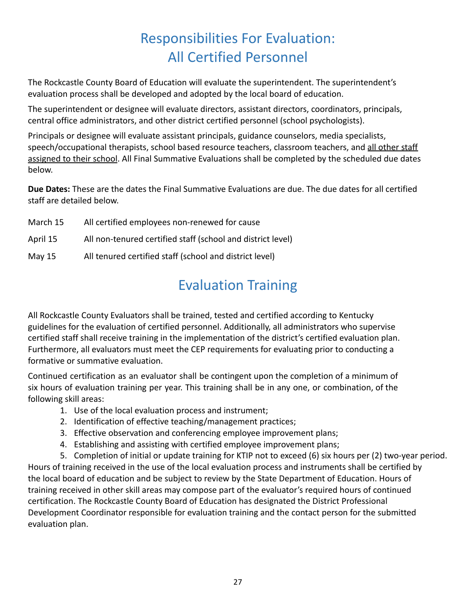# Responsibilities For Evaluation: All Certified Personnel

The Rockcastle County Board of Education will evaluate the superintendent. The superintendent's evaluation process shall be developed and adopted by the local board of education.

The superintendent or designee will evaluate directors, assistant directors, coordinators, principals, central office administrators, and other district certified personnel (school psychologists).

Principals or designee will evaluate assistant principals, guidance counselors, media specialists, speech/occupational therapists, school based resource teachers, classroom teachers, and all other staff assigned to their school. All Final Summative Evaluations shall be completed by the scheduled due dates below.

**Due Dates:** These are the dates the Final Summative Evaluations are due. The due dates for all certified staff are detailed below.

March 15 All certified employees non-renewed for cause April 15 All non-tenured certified staff (school and district level) May 15 All tenured certified staff (school and district level)

# Evaluation Training

All Rockcastle County Evaluators shall be trained, tested and certified according to Kentucky guidelines for the evaluation of certified personnel. Additionally, all administrators who supervise certified staff shall receive training in the implementation of the district's certified evaluation plan. Furthermore, all evaluators must meet the CEP requirements for evaluating prior to conducting a formative or summative evaluation.

Continued certification as an evaluator shall be contingent upon the completion of a minimum of six hours of evaluation training per year. This training shall be in any one, or combination, of the following skill areas:

- 1. Use of the local evaluation process and instrument;
- 2. Identification of effective teaching/management practices;
- 3. Effective observation and conferencing employee improvement plans;
- 4. Establishing and assisting with certified employee improvement plans;

5. Completion of initial or update training for KTIP not to exceed (6) six hours per (2) two-year period. Hours of training received in the use of the local evaluation process and instruments shall be certified by the local board of education and be subject to review by the State Department of Education. Hours of training received in other skill areas may compose part of the evaluator's required hours of continued certification. The Rockcastle County Board of Education has designated the District Professional Development Coordinator responsible for evaluation training and the contact person for the submitted evaluation plan.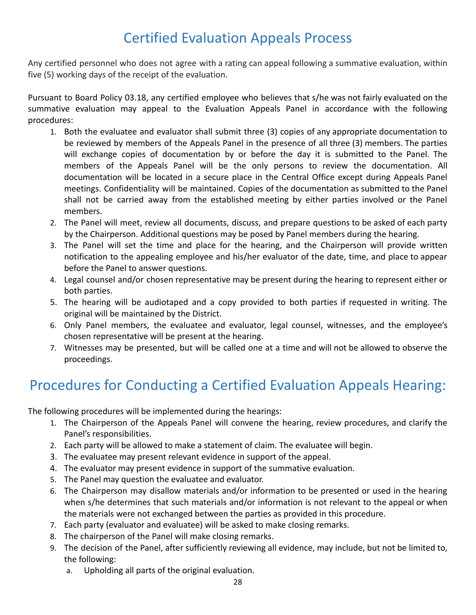# Certified Evaluation Appeals Process

Any certified personnel who does not agree with a rating can appeal following a summative evaluation, within five (5) working days of the receipt of the evaluation.

Pursuant to Board Policy 03.18, any certified employee who believes that s/he was not fairly evaluated on the summative evaluation may appeal to the Evaluation Appeals Panel in accordance with the following procedures:

- 1. Both the evaluatee and evaluator shall submit three (3) copies of any appropriate documentation to be reviewed by members of the Appeals Panel in the presence of all three (3) members. The parties will exchange copies of documentation by or before the day it is submitted to the Panel. The members of the Appeals Panel will be the only persons to review the documentation. All documentation will be located in a secure place in the Central Office except during Appeals Panel meetings. Confidentiality will be maintained. Copies of the documentation as submitted to the Panel shall not be carried away from the established meeting by either parties involved or the Panel members.
- 2. The Panel will meet, review all documents, discuss, and prepare questions to be asked of each party by the Chairperson. Additional questions may be posed by Panel members during the hearing.
- 3. The Panel will set the time and place for the hearing, and the Chairperson will provide written notification to the appealing employee and his/her evaluator of the date, time, and place to appear before the Panel to answer questions.
- 4. Legal counsel and/or chosen representative may be present during the hearing to represent either or both parties.
- 5. The hearing will be audiotaped and a copy provided to both parties if requested in writing. The original will be maintained by the District.
- 6. Only Panel members, the evaluatee and evaluator, legal counsel, witnesses, and the employee's chosen representative will be present at the hearing.
- 7. Witnesses may be presented, but will be called one at a time and will not be allowed to observe the proceedings.

# Procedures for Conducting a Certified Evaluation Appeals Hearing:

The following procedures will be implemented during the hearings:

- 1. The Chairperson of the Appeals Panel will convene the hearing, review procedures, and clarify the Panel's responsibilities.
- 2. Each party will be allowed to make a statement of claim. The evaluatee will begin.
- 3. The evaluatee may present relevant evidence in support of the appeal.
- 4. The evaluator may present evidence in support of the summative evaluation.
- 5. The Panel may question the evaluatee and evaluator.
- 6. The Chairperson may disallow materials and/or information to be presented or used in the hearing when s/he determines that such materials and/or information is not relevant to the appeal or when the materials were not exchanged between the parties as provided in this procedure.
- 7. Each party (evaluator and evaluatee) will be asked to make closing remarks.
- 8. The chairperson of the Panel will make closing remarks.
- 9. The decision of the Panel, after sufficiently reviewing all evidence, may include, but not be limited to, the following:
	- a. Upholding all parts of the original evaluation.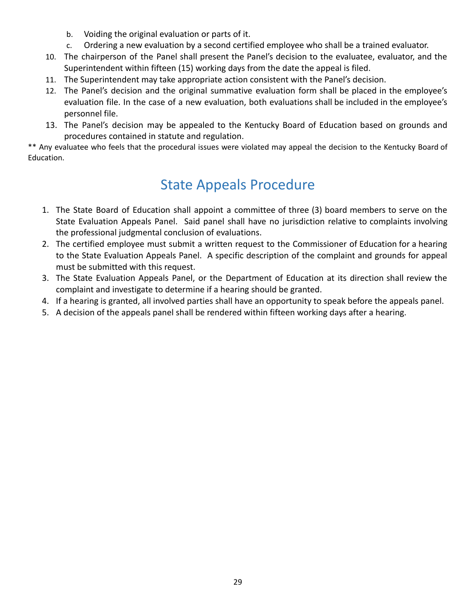- b. Voiding the original evaluation or parts of it.
- c. Ordering a new evaluation by a second certified employee who shall be a trained evaluator.
- 10. The chairperson of the Panel shall present the Panel's decision to the evaluatee, evaluator, and the Superintendent within fifteen (15) working days from the date the appeal is filed.
- 11. The Superintendent may take appropriate action consistent with the Panel's decision.
- 12. The Panel's decision and the original summative evaluation form shall be placed in the employee's evaluation file. In the case of a new evaluation, both evaluations shall be included in the employee's personnel file.
- 13. The Panel's decision may be appealed to the Kentucky Board of Education based on grounds and procedures contained in statute and regulation.

\*\* Any evaluatee who feels that the procedural issues were violated may appeal the decision to the Kentucky Board of Education.

# State Appeals Procedure

- 1. The State Board of Education shall appoint a committee of three (3) board members to serve on the State Evaluation Appeals Panel. Said panel shall have no jurisdiction relative to complaints involving the professional judgmental conclusion of evaluations.
- 2. The certified employee must submit a written request to the Commissioner of Education for a hearing to the State Evaluation Appeals Panel. A specific description of the complaint and grounds for appeal must be submitted with this request.
- 3. The State Evaluation Appeals Panel, or the Department of Education at its direction shall review the complaint and investigate to determine if a hearing should be granted.
- 4. If a hearing is granted, all involved parties shall have an opportunity to speak before the appeals panel.
- 5. A decision of the appeals panel shall be rendered within fifteen working days after a hearing.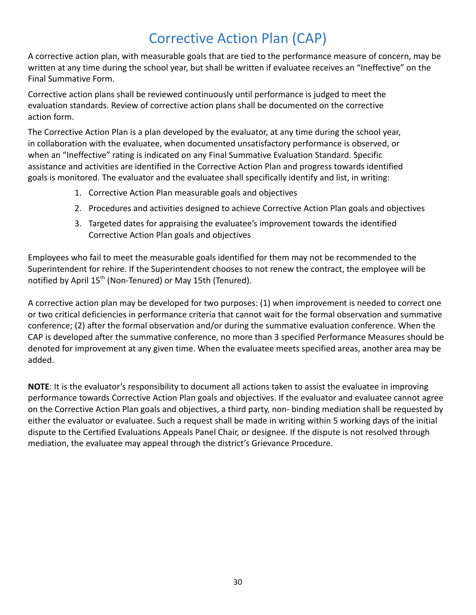# Corrective Action Plan (CAP)

A corrective action plan, with measurable goals that are tied to the performance measure of concern, may be written at any time during the school year, but shall be written if evaluatee receives an "Ineffective" on the Final Summative Form.

Corrective action plans shall be reviewed continuously until performance is judged to meet the evaluation standards. Review of corrective action plans shall be documented on the corrective action form.

The Corrective Action Plan is a plan developed by the evaluator, at any time during the school year, in collaboration with the evaluatee, when documented unsatisfactory performance is observed, or when an "Ineffective" rating is indicated on any Final Summative Evaluation Standard. Specific assistance and activities are identified in the Corrective Action Plan and progress towards identified goals is monitored. The evaluator and the evaluatee shall specifically identify and list, in writing:

- 1. Corrective Action Plan measurable goals and objectives
- 2. Procedures and activities designed to achieve Corrective Action Plan goals and objectives
- 3. Targeted dates for appraising the evaluatee's improvement towards the identified Corrective Action Plan goals and objectives

Employees who fail to meet the measurable goals identified for them may not be recommended to the Superintendent for rehire. If the Superintendent chooses to not renew the contract, the employee will be notified by April 15<sup>th</sup> (Non-Tenured) or May 15th (Tenured).

A corrective action plan may be developed for two purposes: (1) when improvement is needed to correct one or two critical deficiencies in performance criteria that cannot wait for the formal observation and summative conference; (2) after the formal observation and/or during the summative evaluation conference. When the CAP is developed after the summative conference, no more than 3 specified Performance Measures should be denoted for improvement at any given time. When the evaluatee meets specified areas, another area may be added.

**NOTE**: It is the evaluator's responsibility to document all actions taken to assist the evaluatee in improving performance towards Corrective Action Plan goals and objectives. If the evaluator and evaluatee cannot agree on the Corrective Action Plan goals and objectives, a third party, non- binding mediation shall be requested by either the evaluator or evaluatee. Such a request shall be made in writing within 5 working days of the initial dispute to the Certified Evaluations Appeals Panel Chair, or designee. If the dispute is not resolved through mediation, the evaluatee may appeal through the district's Grievance Procedure.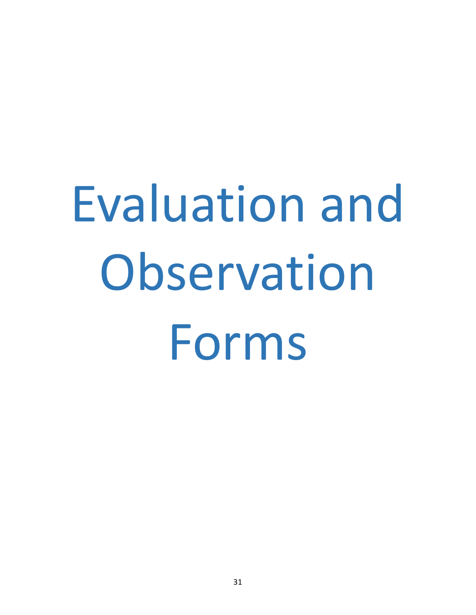# Evaluation and Observation Forms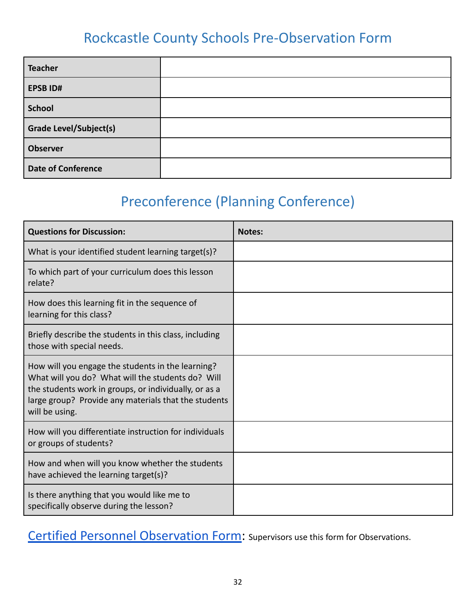# Rockcastle County Schools Pre-Observation Form

| <b>Teacher</b>                |  |
|-------------------------------|--|
| <b>EPSBID#</b>                |  |
| <b>School</b>                 |  |
| <b>Grade Level/Subject(s)</b> |  |
| <b>Observer</b>               |  |
| <b>Date of Conference</b>     |  |

# Preconference (Planning Conference)

| <b>Questions for Discussion:</b>                                                                                                                                                                                                          | Notes: |
|-------------------------------------------------------------------------------------------------------------------------------------------------------------------------------------------------------------------------------------------|--------|
| What is your identified student learning target(s)?                                                                                                                                                                                       |        |
| To which part of your curriculum does this lesson<br>relate?                                                                                                                                                                              |        |
| How does this learning fit in the sequence of<br>learning for this class?                                                                                                                                                                 |        |
| Briefly describe the students in this class, including<br>those with special needs.                                                                                                                                                       |        |
| How will you engage the students in the learning?<br>What will you do? What will the students do? Will<br>the students work in groups, or individually, or as a<br>large group? Provide any materials that the students<br>will be using. |        |
| How will you differentiate instruction for individuals<br>or groups of students?                                                                                                                                                          |        |
| How and when will you know whether the students<br>have achieved the learning target(s)?                                                                                                                                                  |        |
| Is there anything that you would like me to<br>specifically observe during the lesson?                                                                                                                                                    |        |

[Certified Personnel Observation Form:](https://docs.google.com/spreadsheets/d/1e8h-BezgtmmIXo1aaMy7orTZe3Vko5keSczRH50V9nI/edit?ts=605a05d0#gid=0) Supervisors use this form for Observations.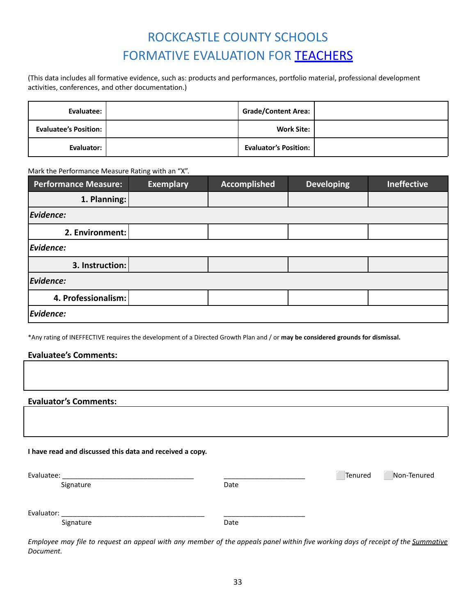# ROCKCASTLE COUNTY SCHOOLS FORMATIVE EVALUATION FOR **[TEACHERS](https://education.ky.gov/teachers/PGES/TPGES/Documents/Kentucky%20Framework%20for%20Teaching.pdf)**

(This data includes all formative evidence, such as: products and performances, portfolio material, professional development activities, conferences, and other documentation.)

| Evaluatee:                   | <b>Grade/Content Area:</b>   |  |
|------------------------------|------------------------------|--|
| <b>Evaluatee's Position:</b> | <b>Work Site:</b>            |  |
| Evaluator:                   | <b>Evaluator's Position:</b> |  |

#### Mark the Performance Measure Rating with an "X".

| <b>Performance Measure:</b> | <b>Exemplary</b> | Accomplished | <b>Developing</b> | <b>Ineffective</b> |
|-----------------------------|------------------|--------------|-------------------|--------------------|
| 1. Planning:                |                  |              |                   |                    |
| Evidence:                   |                  |              |                   |                    |
| 2. Environment:             |                  |              |                   |                    |
| Evidence:                   |                  |              |                   |                    |
| 3. Instruction:             |                  |              |                   |                    |
| Evidence:                   |                  |              |                   |                    |
| 4. Professionalism:         |                  |              |                   |                    |
| Evidence:                   |                  |              |                   |                    |

\*Any rating of INEFFECTIVE requires the development of a Directed Growth Plan and / or **may be considered grounds for dismissal.**

#### **Evaluatee's Comments:**

#### **Evaluator's Comments:**

**I have read and discussed this data and received a copy.**

Evaluatee: \_\_\_\_\_\_\_\_\_\_\_\_\_\_\_\_\_\_\_\_\_\_\_\_\_\_\_\_\_\_\_\_\_\_ \_\_\_\_\_\_\_\_\_\_\_\_\_\_\_\_\_\_\_\_\_ ⬜Tenured ⬜Non-Tenured

Signature Date

Evaluator:

Signature Date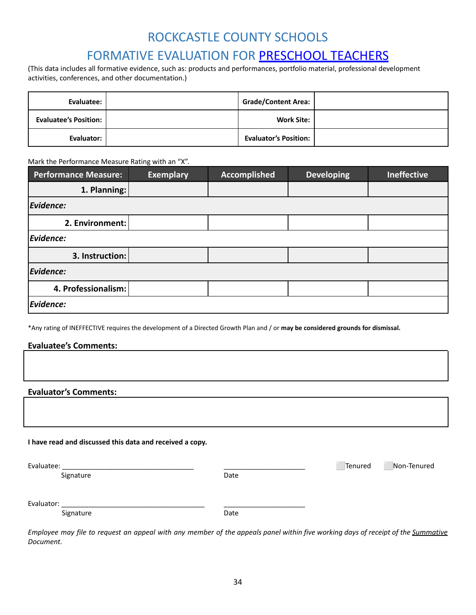## ROCKCASTLE COUNTY SCHOOLS

## FORMATIVE EVALUATION FOR [PRESCHOOL TEACHERS](https://education.ky.gov/teachers/PGES/TPGES/Documents/TPGES%20Guidance%20for%20Preschool.pdf)

(This data includes all formative evidence, such as: products and performances, portfolio material, professional development activities, conferences, and other documentation.)

| Evaluatee:                   | <b>Grade/Content Area:</b>   |  |
|------------------------------|------------------------------|--|
| <b>Evaluatee's Position:</b> | <b>Work Site:</b>            |  |
| Evaluator:                   | <b>Evaluator's Position:</b> |  |

#### Mark the Performance Measure Rating with an "X".

| <b>Performance Measure:</b> | <b>Exemplary</b> | Accomplished | <b>Developing</b> | <b>Ineffective</b> |
|-----------------------------|------------------|--------------|-------------------|--------------------|
| 1. Planning:                |                  |              |                   |                    |
| Evidence:                   |                  |              |                   |                    |
| 2. Environment:             |                  |              |                   |                    |
| Evidence:                   |                  |              |                   |                    |
| 3. Instruction:             |                  |              |                   |                    |
| Evidence:                   |                  |              |                   |                    |
| 4. Professionalism:         |                  |              |                   |                    |
| Evidence:                   |                  |              |                   |                    |

\*Any rating of INEFFECTIVE requires the development of a Directed Growth Plan and / or **may be considered grounds for dismissal.**

#### **Evaluatee's Comments:**

#### **Evaluator's Comments:**

**I have read and discussed this data and received a copy.**

| $\overline{\phantom{0}}$<br>Evaluate | N<br>. . |
|--------------------------------------|----------|
|                                      |          |

Signature Date

Evaluator:

Signature Date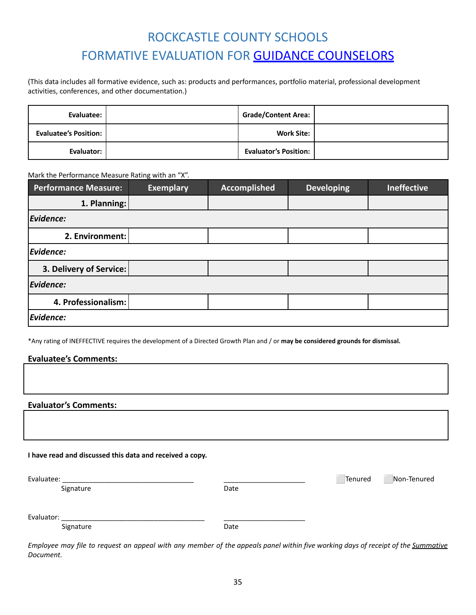# ROCKCASTLE COUNTY SCHOOLS FORMATIVE EVALUATION FOR [GUIDANCE COUNSELORS](https://education.ky.gov/teachers/PGES/TPGES/Documents/OPGES%20Framework%20School%20Guidance%20Counselors.pdf)

(This data includes all formative evidence, such as: products and performances, portfolio material, professional development activities, conferences, and other documentation.)

| Evaluatee:                   | <b>Grade/Content Area:</b>   |  |
|------------------------------|------------------------------|--|
| <b>Evaluatee's Position:</b> | <b>Work Site:</b>            |  |
| Evaluator:                   | <b>Evaluator's Position:</b> |  |

Mark the Performance Measure Rating with an "X".

| <b>Performance Measure:</b> | <b>Exemplary</b> | Accomplished | <b>Developing</b> | <b>Ineffective</b> |
|-----------------------------|------------------|--------------|-------------------|--------------------|
| 1. Planning:                |                  |              |                   |                    |
| Evidence:                   |                  |              |                   |                    |
| 2. Environment:             |                  |              |                   |                    |
| Evidence:                   |                  |              |                   |                    |
| 3. Delivery of Service:     |                  |              |                   |                    |
| Evidence:                   |                  |              |                   |                    |
| 4. Professionalism:         |                  |              |                   |                    |
| Evidence:                   |                  |              |                   |                    |

\*Any rating of INEFFECTIVE requires the development of a Directed Growth Plan and / or **may be considered grounds for dismissal.**

#### **Evaluatee's Comments:**

#### **Evaluator's Comments:**

**I have read and discussed this data and received a copy.**

| -<br>Evaluatee<br>$$ ataa<br>$\cdots$ |       | <br>. . | 'N.<br>'ND |
|---------------------------------------|-------|---------|------------|
| Sionatiire                            | .)ate |         |            |

Signature Date Date

Evaluator: \_\_\_\_\_\_\_\_\_\_\_\_\_\_\_\_\_\_\_\_\_\_\_\_\_\_\_\_\_\_\_\_\_\_\_\_\_ \_\_\_\_\_\_\_\_\_\_\_\_\_\_\_\_\_\_\_\_\_

Signature Date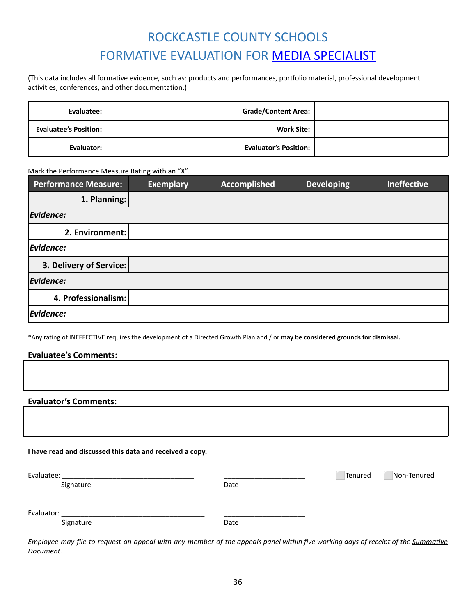# ROCKCASTLE COUNTY SCHOOLS FORMATIVE EVALUATION FOR [MEDIA SPECIALIST](https://education.ky.gov/teachers/PGES/TPGES/Documents/OPGES%20Framework%20School%20Library%20Media%20Specialists.pdf)

(This data includes all formative evidence, such as: products and performances, portfolio material, professional development activities, conferences, and other documentation.)

| Evaluatee:                   | <b>Grade/Content Area:</b>   |  |
|------------------------------|------------------------------|--|
| <b>Evaluatee's Position:</b> | <b>Work Site:</b>            |  |
| Evaluator:                   | <b>Evaluator's Position:</b> |  |

#### Mark the Performance Measure Rating with an "X".

| <b>Performance Measure:</b> | <b>Exemplary</b> | Accomplished | <b>Developing</b> | <b>Ineffective</b> |
|-----------------------------|------------------|--------------|-------------------|--------------------|
| 1. Planning:                |                  |              |                   |                    |
| Evidence:                   |                  |              |                   |                    |
| 2. Environment:             |                  |              |                   |                    |
| Evidence:                   |                  |              |                   |                    |
| 3. Delivery of Service:     |                  |              |                   |                    |
| Evidence:                   |                  |              |                   |                    |
| 4. Professionalism:         |                  |              |                   |                    |
| Evidence:                   |                  |              |                   |                    |

\*Any rating of INEFFECTIVE requires the development of a Directed Growth Plan and / or **may be considered grounds for dismissal.**

#### **Evaluatee's Comments:**

#### **Evaluator's Comments:**

**I have read and discussed this data and received a copy.**

Evaluatee: \_\_\_\_\_\_\_\_\_\_\_\_\_\_\_\_\_\_\_\_\_\_\_\_\_\_\_\_\_\_\_\_\_\_ \_\_\_\_\_\_\_\_\_\_\_\_\_\_\_\_\_\_\_\_\_ ⬜Tenured ⬜Non-Tenured

Signature Date

Evaluator:

Signature Date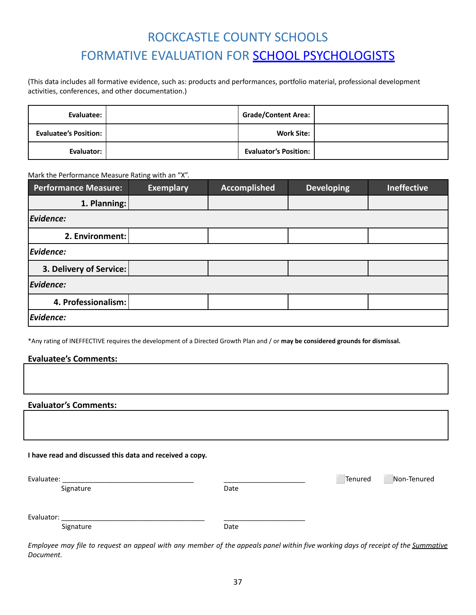# ROCKCASTLE COUNTY SCHOOLS FORMATIVE EVALUATION FOR **[SCHOOL PSYCHOLOGISTS](https://education.ky.gov/teachers/PGES/TPGES/Documents/OPGES%20Framework%20school%20psychologists.pdf)**

(This data includes all formative evidence, such as: products and performances, portfolio material, professional development activities, conferences, and other documentation.)

| Evaluatee:                   | <b>Grade/Content Area:</b>   |  |
|------------------------------|------------------------------|--|
| <b>Evaluatee's Position:</b> | <b>Work Site:</b>            |  |
| Evaluator:                   | <b>Evaluator's Position:</b> |  |

Mark the Performance Measure Rating with an "X".

| <b>Performance Measure:</b> | <b>Exemplary</b> | Accomplished | <b>Developing</b> | <b>Ineffective</b> |
|-----------------------------|------------------|--------------|-------------------|--------------------|
| 1. Planning:                |                  |              |                   |                    |
| Evidence:                   |                  |              |                   |                    |
| 2. Environment:             |                  |              |                   |                    |
| Evidence:                   |                  |              |                   |                    |
| 3. Delivery of Service:     |                  |              |                   |                    |
| Evidence:                   |                  |              |                   |                    |
| 4. Professionalism:         |                  |              |                   |                    |
| Evidence:                   |                  |              |                   |                    |

\*Any rating of INEFFECTIVE requires the development of a Directed Growth Plan and / or **may be considered grounds for dismissal.**

#### **Evaluatee's Comments:**

#### **Evaluator's Comments:**

**I have read and discussed this data and received a copy.**

| -<br>Evalu<br>$\overline{\phantom{a}}$<br>. |   | ີ<br>. | ۸V |
|---------------------------------------------|---|--------|----|
|                                             | - |        |    |

Signature Date

Evaluator: \_\_\_\_\_\_\_\_\_\_\_\_\_\_\_\_\_\_\_\_\_\_\_\_\_\_\_\_\_\_\_\_\_\_\_\_\_ \_\_\_\_\_\_\_\_\_\_\_\_\_\_\_\_\_\_\_\_\_

Signature Date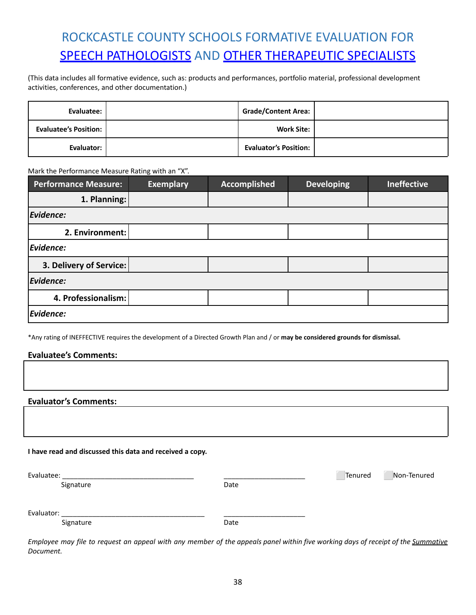# ROCKCASTLE COUNTY SCHOOLS FORMATIVE EVALUATION FOR [SPEECH PATHOLOGISTS](https://education.ky.gov/teachers/PGES/TPGES/Documents/OPGES%20Framework%20therapeautic%20specialists.pdf) AND [OTHER THERAPEUTIC SPECIALISTS](https://education.ky.gov/teachers/PGES/TPGES/Documents/OPGES%20Framework%20Instructional%20Specialists.pdf)

(This data includes all formative evidence, such as: products and performances, portfolio material, professional development activities, conferences, and other documentation.)

| Evaluatee:                   | <b>Grade/Content Area:</b>   |  |
|------------------------------|------------------------------|--|
| <b>Evaluatee's Position:</b> | <b>Work Site:</b>            |  |
| Evaluator:                   | <b>Evaluator's Position:</b> |  |

#### Mark the Performance Measure Rating with an "X".

| <b>Performance Measure:</b> | <b>Exemplary</b> | Accomplished | Developing | <b>Ineffective</b> |
|-----------------------------|------------------|--------------|------------|--------------------|
| 1. Planning:                |                  |              |            |                    |
| Evidence:                   |                  |              |            |                    |
| 2. Environment:             |                  |              |            |                    |
| Evidence:                   |                  |              |            |                    |
| 3. Delivery of Service:     |                  |              |            |                    |
| Evidence:                   |                  |              |            |                    |
| 4. Professionalism:         |                  |              |            |                    |
| Evidence:                   |                  |              |            |                    |

\*Any rating of INEFFECTIVE requires the development of a Directed Growth Plan and / or **may be considered grounds for dismissal.**

#### **Evaluatee's Comments:**

#### **Evaluator's Comments:**

**I have read and discussed this data and received a copy.**

Evaluatee: \_\_\_\_\_\_\_\_\_\_\_\_\_\_\_\_\_\_\_\_\_\_\_\_\_\_\_\_\_\_\_\_\_\_ \_\_\_\_\_\_\_\_\_\_\_\_\_\_\_\_\_\_\_\_\_ ⬜Tenured ⬜Non-Tenured

Signature Date

Evaluator:

Signature Date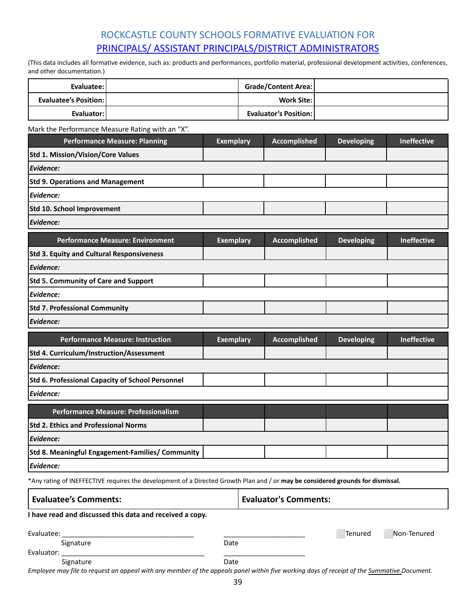## ROCKCASTLE COUNTY SCHOOLS FORMATIVE EVALUATION FOR PRINCIPALS/ ASSISTANT [PRINCIPALS/DISTRICT](https://docs.google.com/spreadsheets/d/1s6cmQ38sbEMiztQf4c7WyQDAud5Eag3XsDqCrjBZt_U/edit#gid=143993890) ADMINISTRATORS

(This data includes all formative evidence, such as: products and performances, portfolio material, professional development activities, conferences, and other documentation.)

| Evaluatee: I                 | Grade/Content Area:          |  |
|------------------------------|------------------------------|--|
| <b>Evaluatee's Position:</b> | Work Site:                   |  |
| Evaluator: I                 | <b>Evaluator's Position:</b> |  |

Mark the Performance Measure Rating with an "X".

| <b>Performance Measure: Planning</b>    | <b>Exemplary</b> | Accomplished | <b>Developing</b> | <b>Ineffective</b> |
|-----------------------------------------|------------------|--------------|-------------------|--------------------|
| Std 1. Mission/Vision/Core Values       |                  |              |                   |                    |
| Evidence:                               |                  |              |                   |                    |
| <b>Std 9. Operations and Management</b> |                  |              |                   |                    |
| Evidence:                               |                  |              |                   |                    |
| Std 10. School Improvement              |                  |              |                   |                    |
| Evidence:                               |                  |              |                   |                    |

| <b>Performance Measure: Environment</b>          | <b>Exemplary</b> | <b>Accomplished</b> | <b>Developing</b> | <b>Ineffective</b> |
|--------------------------------------------------|------------------|---------------------|-------------------|--------------------|
| <b>Std 3. Equity and Cultural Responsiveness</b> |                  |                     |                   |                    |
| Evidence:                                        |                  |                     |                   |                    |
| Std 5. Community of Care and Support             |                  |                     |                   |                    |
| Evidence:                                        |                  |                     |                   |                    |
| <b>Std 7. Professional Community</b>             |                  |                     |                   |                    |
| Evidence:                                        |                  |                     |                   |                    |

| <b>Performance Measure: Instruction</b>          | <b>Exemplary</b> | Accomplished | <b>Developing</b> | <b>Ineffective</b> |
|--------------------------------------------------|------------------|--------------|-------------------|--------------------|
| Std 4. Curriculum/Instruction/Assessment         |                  |              |                   |                    |
| Evidence:                                        |                  |              |                   |                    |
| Std 6. Professional Capacity of School Personnel |                  |              |                   |                    |
| Evidence:                                        |                  |              |                   |                    |
| <b>Performance Measure: Professionalism</b>      |                  |              |                   |                    |
| <b>Std 2. Ethics and Professional Norms</b>      |                  |              |                   |                    |

| Evidence:                                        |  |  |
|--------------------------------------------------|--|--|
| Std 8. Meaningful Engagement-Families/ Community |  |  |
| Evidence:                                        |  |  |

\*Any rating of INEFFECTIVE requires the development of a Directed Growth Plan and / or **may be considered grounds for dismissal.**

| <b>Evaluatee's Comments:</b> | <b>Evaluator's Comments:</b> |
|------------------------------|------------------------------|
| $-$<br>__                    |                              |

**I have read and discussed this data and received a copy.**

| Evaluatee: |      | <b>Tenured</b> | Non-Tenured |
|------------|------|----------------|-------------|
| Signature  | Date |                |             |
| Evaluator: |      |                |             |
| Signature  | Date |                |             |
|            |      |                |             |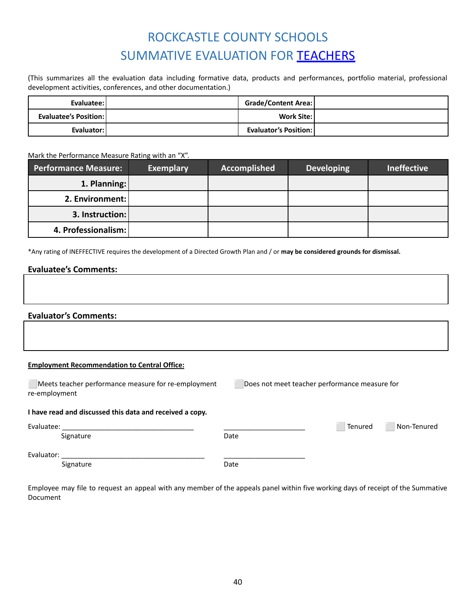# ROCKCASTLE COUNTY SCHOOLS SUMMATIVE EVALUATION FOR [TEACHERS](https://education.ky.gov/teachers/PGES/TPGES/Documents/Kentucky%20Framework%20for%20Teaching.pdf)

(This summarizes all the evaluation data including formative data, products and performances, portfolio material, professional development activities, conferences, and other documentation.)

| Evaluatee: I                 | Grade/Content Area:          |  |
|------------------------------|------------------------------|--|
| <b>Evaluatee's Position:</b> | Work Site: l                 |  |
| Evaluator: I                 | <b>Evaluator's Position:</b> |  |

#### Mark the Performance Measure Rating with an "X".

| <b>Performance Measure:</b> | Exemplary | Accomplished | <b>Developing</b> | <b>Ineffective</b> |
|-----------------------------|-----------|--------------|-------------------|--------------------|
| 1. Planning:                |           |              |                   |                    |
| 2. Environment:             |           |              |                   |                    |
| 3. Instruction:             |           |              |                   |                    |
| 4. Professionalism:         |           |              |                   |                    |

\*Any rating of INEFFECTIVE requires the development of a Directed Growth Plan and / or **may be considered grounds for dismissal.**

#### **Evaluatee's Comments:**

#### **Evaluator's Comments:**

#### **Employment Recommendation to Central Office:**

Meets teacher performance measure for re-employment Does not meet teacher performance measure for re-employment

#### **I have read and discussed this data and received a copy.**

| Evaluatee: |      | Tenured | Non-Tenured |
|------------|------|---------|-------------|
| Signature  | Date |         |             |
| Evaluator: |      |         |             |
| Signature  | Date |         |             |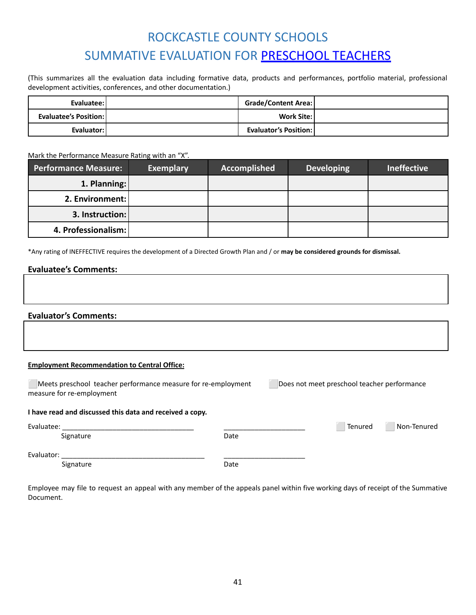# ROCKCASTLE COUNTY SCHOOLS SUMMATIVE EVALUATION FOR [PRESCHOOL TEACHERS](https://education.ky.gov/teachers/PGES/TPGES/Documents/TPGES%20Guidance%20for%20Preschool.pdf)

(This summarizes all the evaluation data including formative data, products and performances, portfolio material, professional development activities, conferences, and other documentation.)

| Evaluatee: I                 | Grade/Content Area:          |  |
|------------------------------|------------------------------|--|
| <b>Evaluatee's Position:</b> | Work Site: I                 |  |
| Evaluator: I                 | <b>Evaluator's Position:</b> |  |

#### Mark the Performance Measure Rating with an "X".

| <b>Performance Measure:</b> | Exemplary | Accomplished | <b>Developing</b> | <b>Ineffective</b> |
|-----------------------------|-----------|--------------|-------------------|--------------------|
| 1. Planning:                |           |              |                   |                    |
| 2. Environment:             |           |              |                   |                    |
| 3. Instruction:             |           |              |                   |                    |
| 4. Professionalism:         |           |              |                   |                    |

\*Any rating of INEFFECTIVE requires the development of a Directed Growth Plan and / or **may be considered grounds for dismissal.**

#### **Evaluatee's Comments:**

#### **Evaluator's Comments:**

#### **Employment Recommendation to Central Office:**

Meets preschool teacher performance measure for re-employment Does not meet preschool teacher performance measure for re-employment

#### **I have read and discussed this data and received a copy.**

| Evaluatee: |      | Tenured | Non-Tenured |
|------------|------|---------|-------------|
| Signature  | Date |         |             |
| Evaluator: |      |         |             |
| Signature  | Date |         |             |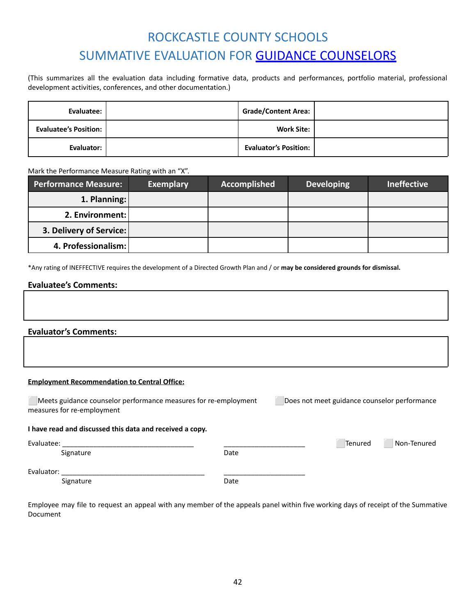# ROCKCASTLE COUNTY SCHOOLS SUMMATIVE EVALUATION FOR [GUIDANCE COUNSELORS](https://education.ky.gov/teachers/PGES/TPGES/Documents/OPGES%20Framework%20School%20Guidance%20Counselors.pdf)

(This summarizes all the evaluation data including formative data, products and performances, portfolio material, professional development activities, conferences, and other documentation.)

| Evaluatee:                   | <b>Grade/Content Area:</b>   |  |
|------------------------------|------------------------------|--|
| <b>Evaluatee's Position:</b> | <b>Work Site:</b>            |  |
| Evaluator:                   | <b>Evaluator's Position:</b> |  |

#### Mark the Performance Measure Rating with an "X".

| <b>Performance Measure:</b> | Exemplary | <b>Accomplished</b> | <b>Developing</b> | <b>Ineffective</b> |
|-----------------------------|-----------|---------------------|-------------------|--------------------|
| 1. Planning:                |           |                     |                   |                    |
| 2. Environment:             |           |                     |                   |                    |
| 3. Delivery of Service:     |           |                     |                   |                    |
| 4. Professionalism:         |           |                     |                   |                    |

\*Any rating of INEFFECTIVE requires the development of a Directed Growth Plan and / or **may be considered grounds for dismissal.**

#### **Evaluatee's Comments:**

#### **Evaluator's Comments:**

#### **Employment Recommendation to Central Office:**

Meets guidance counselor performance measures for re-employment Does not meet guidance counselor performance measures for re-employment

| I have read and discussed this data and received a copy. |      |         |             |
|----------------------------------------------------------|------|---------|-------------|
| Evaluatee:                                               |      | Tenured | Non-Tenured |
| Signature                                                | Date |         |             |
| Evaluator:                                               |      |         |             |
| Signature                                                | Date |         |             |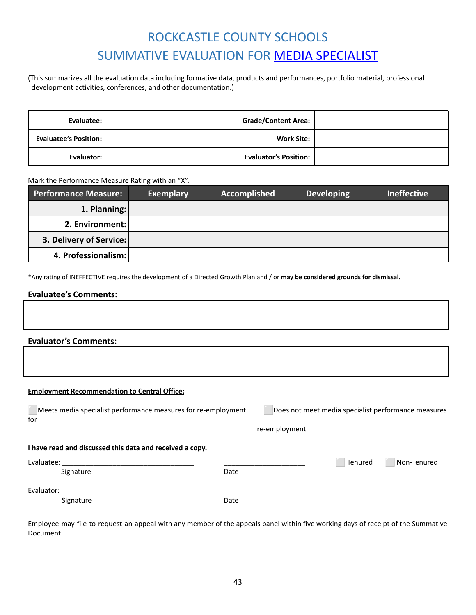# ROCKCASTLE COUNTY SCHOOLS SUMMATIVE EVALUATION FOR [MEDIA SPECIALIST](https://education.ky.gov/teachers/PGES/TPGES/Documents/OPGES%20Framework%20School%20Library%20Media%20Specialists.pdf)

(This summarizes all the evaluation data including formative data, products and performances, portfolio material, professional development activities, conferences, and other documentation.)

| Evaluatee:                   | Grade/Content Area:          |  |
|------------------------------|------------------------------|--|
| <b>Evaluatee's Position:</b> | <b>Work Site:</b>            |  |
| Evaluator:                   | <b>Evaluator's Position:</b> |  |

#### Mark the Performance Measure Rating with an "X".

| <b>Performance Measure:</b> | Exemplary | <b>Accomplished</b> | <b>Developing</b> | <b>Ineffective</b> |
|-----------------------------|-----------|---------------------|-------------------|--------------------|
| 1. Planning:                |           |                     |                   |                    |
| 2. Environment:             |           |                     |                   |                    |
| 3. Delivery of Service:     |           |                     |                   |                    |
| 4. Professionalism:         |           |                     |                   |                    |

\*Any rating of INEFFECTIVE requires the development of a Directed Growth Plan and / or **may be considered grounds for dismissal.**

#### **Evaluatee's Comments:**

#### **Evaluator's Comments:**

#### **Employment Recommendation to Central Office:**

Meets media specialist performance measures for re-employment Does not meet media specialist performance measures for

#### re-employment

#### **I have read and discussed this data and received a copy.**

Signature Date

Evaluatee: \_\_\_\_\_\_\_\_\_\_\_\_\_\_\_\_\_\_\_\_\_\_\_\_\_\_\_\_\_\_\_\_\_\_ \_\_\_\_\_\_\_\_\_\_\_\_\_\_\_\_\_\_\_\_\_ ⬜ Tenured ⬜ Non-Tenured

Evaluator: \_\_\_\_\_\_\_\_\_\_\_\_\_\_\_\_\_\_\_\_\_\_\_\_\_\_\_\_\_\_\_\_\_\_\_\_\_ \_\_\_\_\_\_\_\_\_\_\_\_\_\_\_\_\_\_\_\_\_

Signature Date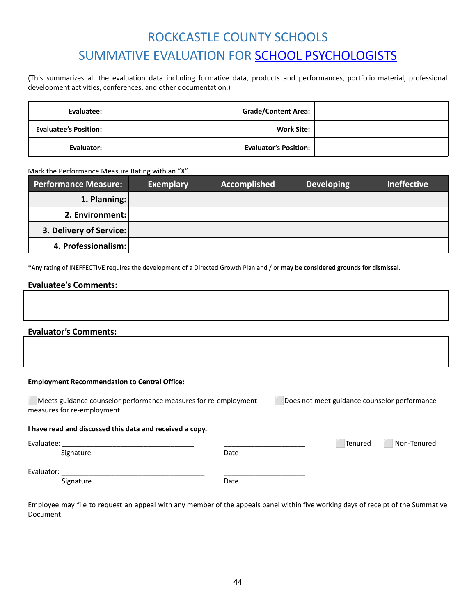# ROCKCASTLE COUNTY SCHOOLS SUMMATIVE EVALUATION FOR **[SCHOOL PSYCHOLOGISTS](https://education.ky.gov/teachers/PGES/TPGES/Documents/OPGES%20Framework%20school%20psychologists.pdf)**

(This summarizes all the evaluation data including formative data, products and performances, portfolio material, professional development activities, conferences, and other documentation.)

| Evaluatee:                   | <b>Grade/Content Area:</b>   |  |
|------------------------------|------------------------------|--|
| <b>Evaluatee's Position:</b> | <b>Work Site:</b>            |  |
| Evaluator:                   | <b>Evaluator's Position:</b> |  |

#### Mark the Performance Measure Rating with an "X".

| <b>Performance Measure:</b> | Exemplary | <b>Accomplished</b> | <b>Developing</b> | <b>Ineffective</b> |
|-----------------------------|-----------|---------------------|-------------------|--------------------|
| 1. Planning:                |           |                     |                   |                    |
| 2. Environment:             |           |                     |                   |                    |
| 3. Delivery of Service:     |           |                     |                   |                    |
| 4. Professionalism:         |           |                     |                   |                    |

\*Any rating of INEFFECTIVE requires the development of a Directed Growth Plan and / or **may be considered grounds for dismissal.**

#### **Evaluatee's Comments:**

#### **Evaluator's Comments:**

#### **Employment Recommendation to Central Office:**

Meets guidance counselor performance measures for re-employment Does not meet guidance counselor performance measures for re-employment

| I have read and discussed this data and received a copy. |      |         |             |  |
|----------------------------------------------------------|------|---------|-------------|--|
| Evaluatee:                                               |      | Tenured | Non-Tenured |  |
| Signature                                                | Date |         |             |  |
| Evaluator:                                               |      |         |             |  |
| Signature                                                | Date |         |             |  |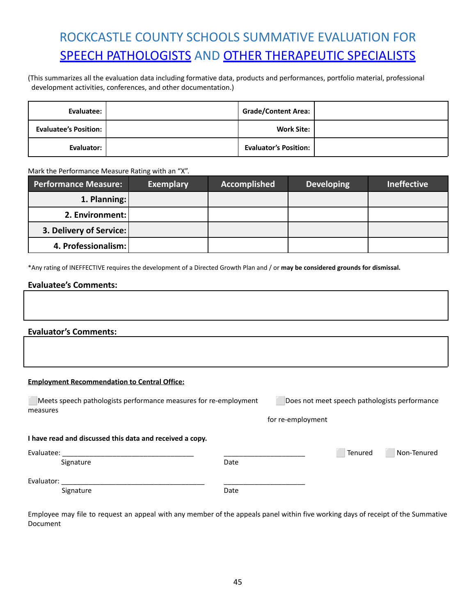# ROCKCASTLE COUNTY SCHOOLS SUMMATIVE EVALUATION FOR [SPEECH PATHOLOGISTS](https://education.ky.gov/teachers/PGES/TPGES/Documents/OPGES%20Framework%20therapeautic%20specialists.pdf) AND [OTHER THERAPEUTIC SPECIALISTS](https://education.ky.gov/teachers/PGES/TPGES/Documents/OPGES%20Framework%20Instructional%20Specialists.pdf)

(This summarizes all the evaluation data including formative data, products and performances, portfolio material, professional development activities, conferences, and other documentation.)

| Evaluatee:                   | <b>Grade/Content Area:</b>   |  |
|------------------------------|------------------------------|--|
| <b>Evaluatee's Position:</b> | <b>Work Site:</b>            |  |
| Evaluator:                   | <b>Evaluator's Position:</b> |  |

#### Mark the Performance Measure Rating with an "X".

| Performance Measure:    | <b>Exemplary</b> | <b>Accomplished</b> | <b>Developing</b> | <b>Ineffective</b> |
|-------------------------|------------------|---------------------|-------------------|--------------------|
| 1. Planning:            |                  |                     |                   |                    |
| 2. Environment:         |                  |                     |                   |                    |
| 3. Delivery of Service: |                  |                     |                   |                    |
| 4. Professionalism:     |                  |                     |                   |                    |

\*Any rating of INEFFECTIVE requires the development of a Directed Growth Plan and / or **may be considered grounds for dismissal.**

#### **Evaluatee's Comments:**

#### **Evaluator's Comments:**

| <b>Employment Recommendation to Central Office:</b> |  |
|-----------------------------------------------------|--|
|-----------------------------------------------------|--|

| Meets speech pathologists performance measures for re-employment<br>measures | Does not meet speech pathologists performance |
|------------------------------------------------------------------------------|-----------------------------------------------|
|                                                                              | for re-employment                             |
| I have read and discussed this data and received a copy.                     |                                               |
| Evaluatee:                                                                   | Tenured<br>Non-Tenured                        |
| Date<br>Signature                                                            |                                               |
| Evaluator:                                                                   |                                               |
| Signature<br>Date                                                            |                                               |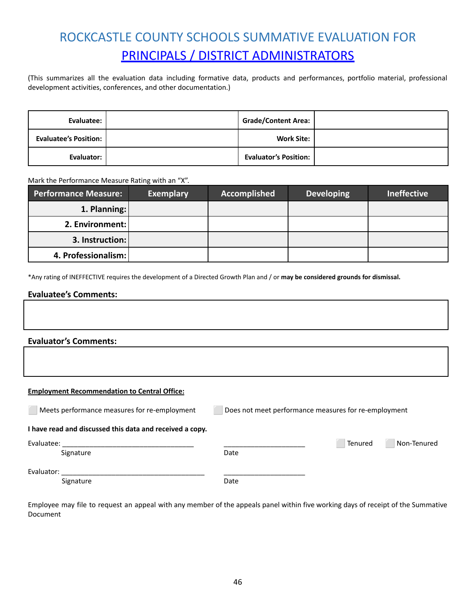# ROCKCASTLE COUNTY SCHOOLS SUMMATIVE EVALUATION FOR [PRINCIPALS / DISTRICT ADMINISTRATORS](https://docs.google.com/spreadsheets/d/1s6cmQ38sbEMiztQf4c7WyQDAud5Eag3XsDqCrjBZt_U/edit#gid=143993890)

(This summarizes all the evaluation data including formative data, products and performances, portfolio material, professional development activities, conferences, and other documentation.)

| Evaluatee:                     | <b>Grade/Content Area:</b>   |  |
|--------------------------------|------------------------------|--|
| <b>Evaluatee's Position:  </b> | <b>Work Site:</b>            |  |
| Evaluator:                     | <b>Evaluator's Position:</b> |  |

#### Mark the Performance Measure Rating with an "X".

| <b>Performance Measure:</b> | <b>Exemplary</b> | <b>Accomplished</b> | <b>Developing</b> | <b>Ineffective</b> |
|-----------------------------|------------------|---------------------|-------------------|--------------------|
| 1. Planning:                |                  |                     |                   |                    |
| 2. Environment:             |                  |                     |                   |                    |
| 3. Instruction:             |                  |                     |                   |                    |
| 4. Professionalism:         |                  |                     |                   |                    |

\*Any rating of INEFFECTIVE requires the development of a Directed Growth Plan and / or **may be considered grounds for dismissal.**

#### **Evaluatee's Comments:**

#### **Evaluator's Comments:**

#### **Employment Recommendation to Central Office:**

**Neets performance measures for re-employment** Does not meet performance measures for re-employment

#### **I have read and discussed this data and received a copy.**

| Evaluatee: |      | Tenured | Non-Tenured |
|------------|------|---------|-------------|
| Signature  | Date |         |             |
| Evaluator: |      |         |             |
| Signature  | Date |         |             |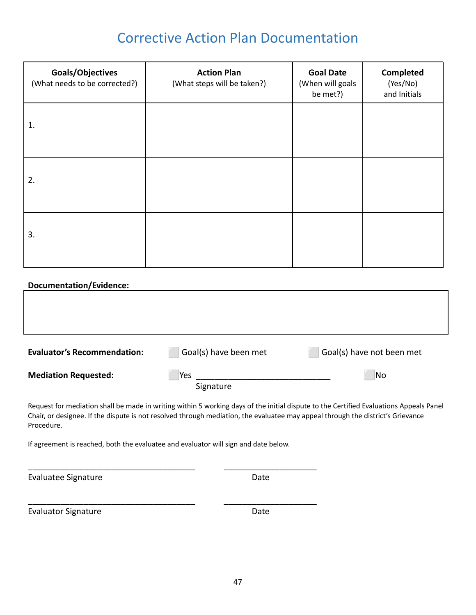# Corrective Action Plan Documentation

| Goals/Objectives<br>(What needs to be corrected?) | <b>Action Plan</b><br>(What steps will be taken?) | <b>Goal Date</b><br>(When will goals<br>be met?) | Completed<br>(Yes/No)<br>and Initials |
|---------------------------------------------------|---------------------------------------------------|--------------------------------------------------|---------------------------------------|
| 1.                                                |                                                   |                                                  |                                       |
| 2.                                                |                                                   |                                                  |                                       |
| 3.                                                |                                                   |                                                  |                                       |

#### **Documentation/Evidence:**

| <b>Evaluator's Recommendation:</b> | Goal(s) have been met | Goal(s) have not been met |
|------------------------------------|-----------------------|---------------------------|
| <b>Mediation Requested:</b>        | Yes<br>Signature      | No                        |

Request for mediation shall be made in writing within 5 working days of the initial dispute to the Certified Evaluations Appeals Panel Chair, or designee. If the dispute is not resolved through mediation, the evaluatee may appeal through the district's Grievance Procedure.

If agreement is reached, both the evaluatee and evaluator will sign and date below.

\_\_\_\_\_\_\_\_\_\_\_\_\_\_\_\_\_\_\_\_\_\_\_\_\_\_\_\_\_\_\_\_\_\_\_\_ \_\_\_\_\_\_\_\_\_\_\_\_\_\_\_\_\_\_\_\_

\_\_\_\_\_\_\_\_\_\_\_\_\_\_\_\_\_\_\_\_\_\_\_\_\_\_\_\_\_\_\_\_\_\_\_\_ \_\_\_\_\_\_\_\_\_\_\_\_\_\_\_\_\_\_\_\_

Evaluatee Signature **Date** 

Evaluator Signature **Date** Date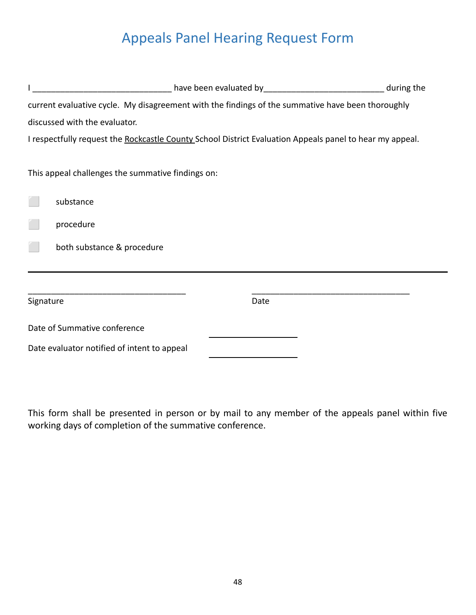# Appeals Panel Hearing Request Form

|                                                                                                          | ______________________________ have been evaluated by___________________________                  | during the |  |  |
|----------------------------------------------------------------------------------------------------------|---------------------------------------------------------------------------------------------------|------------|--|--|
|                                                                                                          | current evaluative cycle. My disagreement with the findings of the summative have been thoroughly |            |  |  |
|                                                                                                          | discussed with the evaluator.                                                                     |            |  |  |
| I respectfully request the Rockcastle County School District Evaluation Appeals panel to hear my appeal. |                                                                                                   |            |  |  |
|                                                                                                          | This appeal challenges the summative findings on:                                                 |            |  |  |
|                                                                                                          | substance                                                                                         |            |  |  |
|                                                                                                          | procedure                                                                                         |            |  |  |
|                                                                                                          | both substance & procedure                                                                        |            |  |  |
|                                                                                                          |                                                                                                   |            |  |  |
| Signature                                                                                                | Date                                                                                              |            |  |  |
|                                                                                                          | Date of Summative conference                                                                      |            |  |  |
|                                                                                                          | Date evaluator notified of intent to appeal                                                       |            |  |  |

This form shall be presented in person or by mail to any member of the appeals panel within five working days of completion of the summative conference.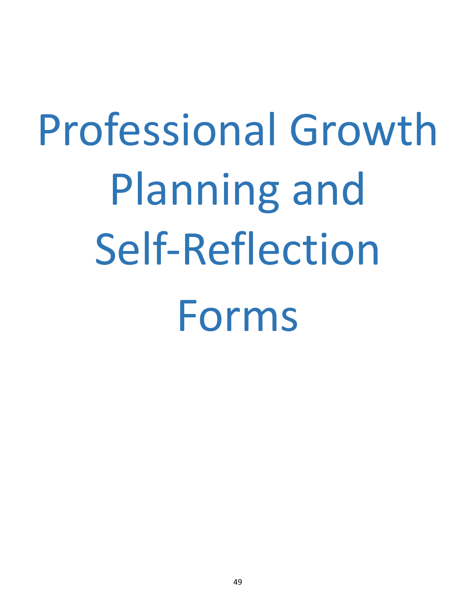Professional Growth Planning and Self-Reflection Forms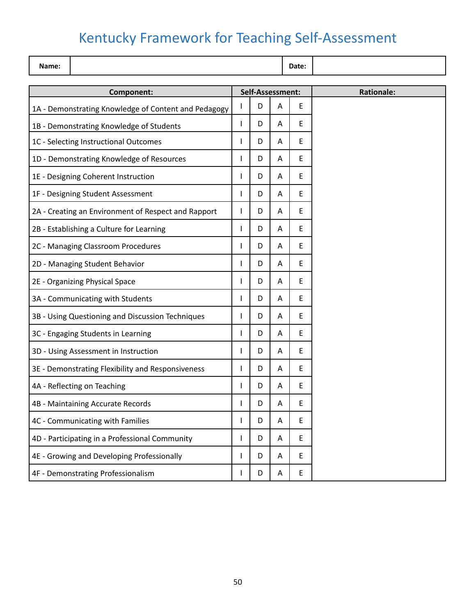# Kentucky Framework for Teaching Self-Assessment

| Name: | Date: |  |
|-------|-------|--|
|-------|-------|--|

| Component:                                           | Self-Assessment:         |   |   | <b>Rationale:</b> |  |
|------------------------------------------------------|--------------------------|---|---|-------------------|--|
| 1A - Demonstrating Knowledge of Content and Pedagogy |                          | D | A | E                 |  |
| 1B - Demonstrating Knowledge of Students             | $\overline{\phantom{a}}$ | D | A | E                 |  |
| 1C - Selecting Instructional Outcomes                | ı                        | D | A | E                 |  |
| 1D - Demonstrating Knowledge of Resources            | I                        | D | A | E                 |  |
| 1E - Designing Coherent Instruction                  | ı                        | D | A | E                 |  |
| 1F - Designing Student Assessment                    | $\mathbf{I}$             | D | A | E                 |  |
| 2A - Creating an Environment of Respect and Rapport  | $\mathbf{I}$             | D | A | E                 |  |
| 2B - Establishing a Culture for Learning             | T                        | D | A | E                 |  |
| 2C - Managing Classroom Procedures                   | ı                        | D | A | E                 |  |
| 2D - Managing Student Behavior                       | ı                        | D | A | E                 |  |
| 2E - Organizing Physical Space                       | ı                        | D | A | E                 |  |
| 3A - Communicating with Students                     | T                        | D | A | E                 |  |
| 3B - Using Questioning and Discussion Techniques     | ı                        | D | A | E                 |  |
| 3C - Engaging Students in Learning                   | I                        | D | А | E                 |  |
| 3D - Using Assessment in Instruction                 | ı                        | D | A | E                 |  |
| 3E - Demonstrating Flexibility and Responsiveness    | T                        | D | A | E                 |  |
| 4A - Reflecting on Teaching                          | ı                        | D | A | E                 |  |
| 4B - Maintaining Accurate Records                    | T                        | D | A | E                 |  |
| 4C - Communicating with Families                     | ı                        | D | A | E                 |  |
| 4D - Participating in a Professional Community       | I                        | D | A | E                 |  |
| 4E - Growing and Developing Professionally           | I                        | D | A | E                 |  |
| 4F - Demonstrating Professionalism                   | 1                        | D | A | E                 |  |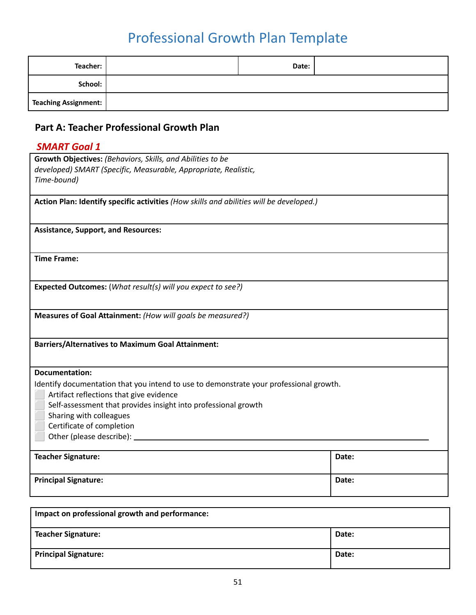# Professional Growth Plan Template

| Teacher:             | Date: |  |
|----------------------|-------|--|
| School:              |       |  |
| Teaching Assignment: |       |  |

## **Part A: Teacher Professional Growth Plan**

## *SMART Goal 1*

| SMART Goal 1                                                                            |       |
|-----------------------------------------------------------------------------------------|-------|
| Growth Objectives: (Behaviors, Skills, and Abilities to be                              |       |
| developed) SMART (Specific, Measurable, Appropriate, Realistic,                         |       |
| Time-bound)                                                                             |       |
|                                                                                         |       |
| Action Plan: Identify specific activities (How skills and abilities will be developed.) |       |
|                                                                                         |       |
|                                                                                         |       |
| <b>Assistance, Support, and Resources:</b>                                              |       |
|                                                                                         |       |
| <b>Time Frame:</b>                                                                      |       |
|                                                                                         |       |
|                                                                                         |       |
| <b>Expected Outcomes:</b> (What result(s) will you expect to see?)                      |       |
|                                                                                         |       |
| Measures of Goal Attainment: (How will goals be measured?)                              |       |
|                                                                                         |       |
|                                                                                         |       |
| <b>Barriers/Alternatives to Maximum Goal Attainment:</b>                                |       |
|                                                                                         |       |
|                                                                                         |       |
| <b>Documentation:</b>                                                                   |       |
| Identify documentation that you intend to use to demonstrate your professional growth.  |       |
| Artifact reflections that give evidence                                                 |       |
| Self-assessment that provides insight into professional growth                          |       |
| Sharing with colleagues                                                                 |       |
| Certificate of completion                                                               |       |
| Other (please describe): _                                                              |       |
|                                                                                         |       |
| <b>Teacher Signature:</b>                                                               | Date: |
|                                                                                         |       |
| <b>Principal Signature:</b>                                                             | Date: |
|                                                                                         |       |

| Impact on professional growth and performance: |       |  |
|------------------------------------------------|-------|--|
| <b>Teacher Signature:</b>                      | Date: |  |
| <b>Principal Signature:</b>                    | Date: |  |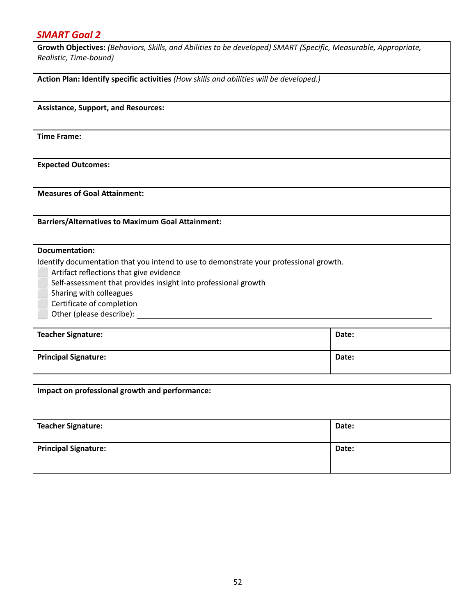# *SMART Goal 2*

| Growth Objectives: (Behaviors, Skills, and Abilities to be developed) SMART (Specific, Measurable, Appropriate, |       |  |
|-----------------------------------------------------------------------------------------------------------------|-------|--|
| Realistic, Time-bound)                                                                                          |       |  |
| Action Plan: Identify specific activities (How skills and abilities will be developed.)                         |       |  |
| <b>Assistance, Support, and Resources:</b>                                                                      |       |  |
| <b>Time Frame:</b>                                                                                              |       |  |
| <b>Expected Outcomes:</b>                                                                                       |       |  |
| <b>Measures of Goal Attainment:</b>                                                                             |       |  |
| <b>Barriers/Alternatives to Maximum Goal Attainment:</b>                                                        |       |  |
| <b>Documentation:</b>                                                                                           |       |  |
| Identify documentation that you intend to use to demonstrate your professional growth.                          |       |  |
| Artifact reflections that give evidence                                                                         |       |  |
| Self-assessment that provides insight into professional growth                                                  |       |  |
| Sharing with colleagues                                                                                         |       |  |
| Certificate of completion                                                                                       |       |  |
|                                                                                                                 |       |  |
| <b>Teacher Signature:</b>                                                                                       | Date: |  |
| <b>Principal Signature:</b>                                                                                     | Date: |  |

| Impact on professional growth and performance: |       |
|------------------------------------------------|-------|
| <b>Teacher Signature:</b>                      | Date: |
| <b>Principal Signature:</b>                    | Date: |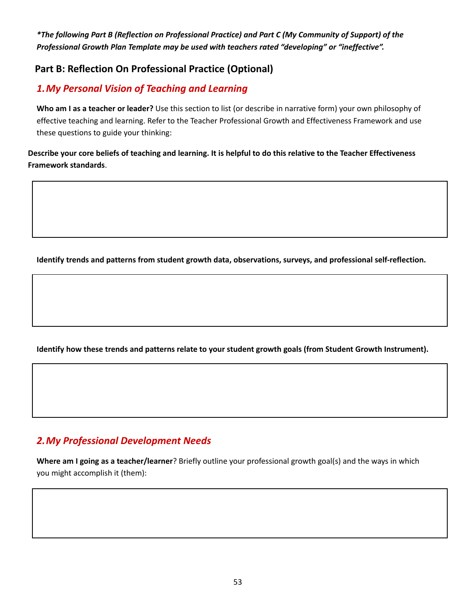*\*The following Part B (Reflection on Professional Practice) and Part C (My Community of Support) of the Professional Growth Plan Template may be used with teachers rated "developing" or "ineffective".*

## **Part B: Reflection On Professional Practice (Optional)**

## *1.My Personal Vision of Teaching and Learning*

**Who am I as a teacher or leader?** Use this section to list (or describe in narrative form) your own philosophy of effective teaching and learning. Refer to the Teacher Professional Growth and Effectiveness Framework and use these questions to guide your thinking:

Describe your core beliefs of teaching and learning. It is helpful to do this relative to the Teacher Effectiveness **Framework standards**.

**Identify trends and patterns from student growth data, observations, surveys, and professional self-reflection.**

**Identify how these trends and patterns relate to your student growth goals (from Student Growth Instrument).**

## *2.My Professional Development Needs*

**Where am I going as a teacher/learner**? Briefly outline your professional growth goal(s) and the ways in which you might accomplish it (them):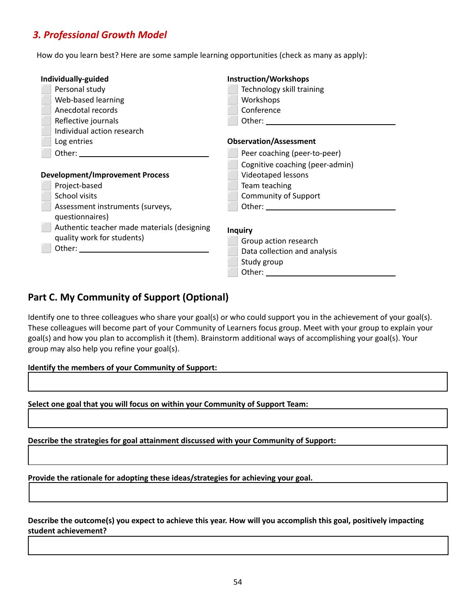## *3. Professional Growth Model*

How do you learn best? Here are some sample learning opportunities (check as many as apply):

| Individually-guided<br>Personal study<br>Web-based learning<br>Anecdotal records<br>Reflective journals<br>Individual action research                                                                                          | Instruction/Workshops<br>Technology skill training<br>Workshops<br>Conference<br>Other: when the contract of the contract of the contract of the contract of the contract of the contract of the contract of the contract of the contract of the contract of the contract of the contract of the contract of th |
|--------------------------------------------------------------------------------------------------------------------------------------------------------------------------------------------------------------------------------|-----------------------------------------------------------------------------------------------------------------------------------------------------------------------------------------------------------------------------------------------------------------------------------------------------------------|
| Log entries                                                                                                                                                                                                                    | <b>Observation/Assessment</b>                                                                                                                                                                                                                                                                                   |
| Other: University of the Contract of the Contract of the Contract of the Contract of the Contract of the Contract of the Contract of the Contract of the Contract of the Contract of the Contract of the Contract of the Contr | Peer coaching (peer-to-peer)<br>Cognitive coaching (peer-admin)                                                                                                                                                                                                                                                 |
| <b>Development/Improvement Process</b>                                                                                                                                                                                         | Videotaped lessons                                                                                                                                                                                                                                                                                              |
| Project-based<br>School visits<br>Assessment instruments (surveys,<br>questionnaires)                                                                                                                                          | Team teaching<br><b>Community of Support</b>                                                                                                                                                                                                                                                                    |
| Authentic teacher made materials (designing<br>quality work for students)                                                                                                                                                      | <b>Inquiry</b><br>Group action research<br>Data collection and analysis<br>Study group                                                                                                                                                                                                                          |

## **Part C. My Community of Support (Optional)**

Identify one to three colleagues who share your goal(s) or who could support you in the achievement of your goal(s). These colleagues will become part of your Community of Learners focus group. Meet with your group to explain your goal(s) and how you plan to accomplish it (them). Brainstorm additional ways of accomplishing your goal(s). Your group may also help you refine your goal(s).

**Identify the members of your Community of Support:**

**Select one goal that you will focus on within your Community of Support Team:**

**Describe the strategies for goal attainment discussed with your Community of Support:**

**Provide the rationale for adopting these ideas/strategies for achieving your goal.**

Describe the outcome(s) you expect to achieve this year. How will you accomplish this goal, positively impacting **student achievement?**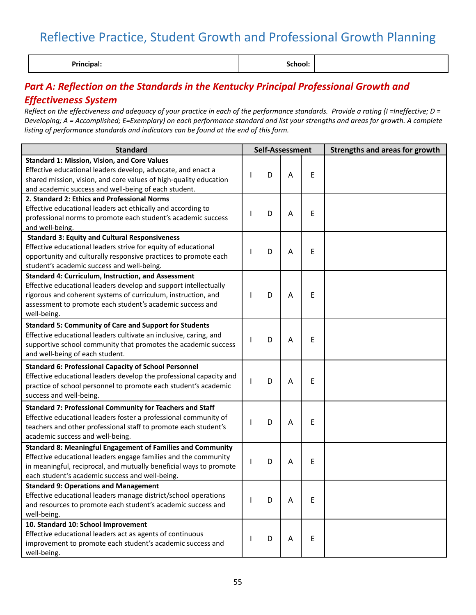## Reflective Practice, Student Growth and Professional Growth Planning

| Principal: | ichool: |  |
|------------|---------|--|
|            |         |  |

## *Part A: Reflection on the Standards in the Kentucky Principal Professional Growth and Effectiveness System*

Reflect on the effectiveness and adequacy of your practice in each of the performance standards. Provide a rating (I =Ineffective; D = Developing; A = Accomplished; E=Exemplary) on each performance standard and list your strengths and areas for growth. A complete *listing of performance standards and indicators can be found at the end of this form.*

| <b>Standard</b>                                                     | Self-Assessment |   |   | <b>Strengths and areas for growth</b> |  |
|---------------------------------------------------------------------|-----------------|---|---|---------------------------------------|--|
| <b>Standard 1: Mission, Vision, and Core Values</b>                 |                 |   |   |                                       |  |
| Effective educational leaders develop, advocate, and enact a        | ı               |   |   | Ε                                     |  |
| shared mission, vision, and core values of high-quality education   |                 | D | A |                                       |  |
| and academic success and well-being of each student.                |                 |   |   |                                       |  |
| 2. Standard 2: Ethics and Professional Norms                        |                 |   |   |                                       |  |
| Effective educational leaders act ethically and according to        | ı               | D | A | Ε                                     |  |
| professional norms to promote each student's academic success       |                 |   |   |                                       |  |
| and well-being.                                                     |                 |   |   |                                       |  |
| <b>Standard 3: Equity and Cultural Responsiveness</b>               |                 |   |   |                                       |  |
| Effective educational leaders strive for equity of educational      | I               | D | A | Ε                                     |  |
| opportunity and culturally responsive practices to promote each     |                 |   |   |                                       |  |
| student's academic success and well-being.                          |                 |   |   |                                       |  |
| <b>Standard 4: Curriculum, Instruction, and Assessment</b>          |                 |   |   |                                       |  |
| Effective educational leaders develop and support intellectually    |                 |   |   |                                       |  |
| rigorous and coherent systems of curriculum, instruction, and       | I               | D | A | Ε                                     |  |
| assessment to promote each student's academic success and           |                 |   |   |                                       |  |
| well-being.                                                         |                 |   |   |                                       |  |
| <b>Standard 5: Community of Care and Support for Students</b>       |                 |   |   |                                       |  |
| Effective educational leaders cultivate an inclusive, caring, and   | ı               | D | A | Ε                                     |  |
| supportive school community that promotes the academic success      |                 |   |   |                                       |  |
| and well-being of each student.                                     |                 |   |   |                                       |  |
| <b>Standard 6: Professional Capacity of School Personnel</b>        |                 |   |   |                                       |  |
| Effective educational leaders develop the professional capacity and |                 |   |   |                                       |  |
| practice of school personnel to promote each student's academic     | T               | D | A | Ε                                     |  |
| success and well-being.                                             |                 |   |   |                                       |  |
| <b>Standard 7: Professional Community for Teachers and Staff</b>    |                 |   |   |                                       |  |
| Effective educational leaders foster a professional community of    |                 |   |   |                                       |  |
| teachers and other professional staff to promote each student's     | ı               | D | A | Ε                                     |  |
| academic success and well-being.                                    |                 |   |   |                                       |  |
| <b>Standard 8: Meaningful Engagement of Families and Community</b>  |                 |   |   |                                       |  |
| Effective educational leaders engage families and the community     |                 | D | A | Ε                                     |  |
| in meaningful, reciprocal, and mutually beneficial ways to promote  | L               |   |   |                                       |  |
| each student's academic success and well-being.                     |                 |   |   |                                       |  |
| <b>Standard 9: Operations and Management</b>                        |                 |   |   |                                       |  |
| Effective educational leaders manage district/school operations     |                 | D | A | Ε                                     |  |
| and resources to promote each student's academic success and        |                 |   |   |                                       |  |
| well-being.                                                         |                 |   |   |                                       |  |
| 10. Standard 10: School Improvement                                 |                 |   |   |                                       |  |
| Effective educational leaders act as agents of continuous           | ı               | D | A | E                                     |  |
| improvement to promote each student's academic success and          |                 |   |   |                                       |  |
| well-being.                                                         |                 |   |   |                                       |  |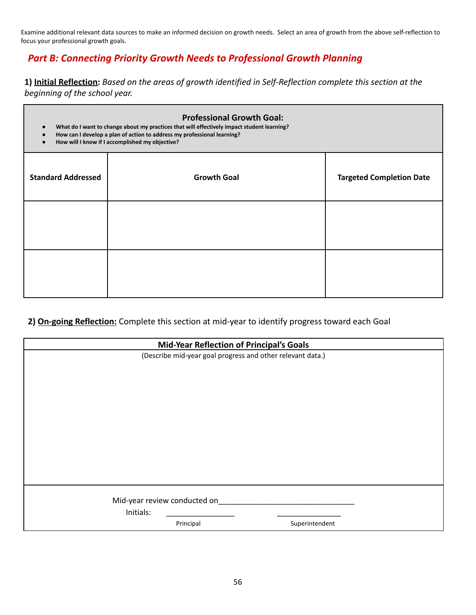Examine additional relevant data sources to make an informed decision on growth needs. Select an area of growth from the above self-reflection to focus your professional growth goals.

## *Part B: Connecting Priority Growth Needs to Professional Growth Planning*

**1) Initial Reflection:** *Based on the areas of growth identified in Self-Reflection complete this section at the beginning of the school year.*

| <b>Professional Growth Goal:</b><br>What do I want to change about my practices that will effectively impact student learning?<br>$\bullet$<br>How can I develop a plan of action to address my professional learning?<br>$\bullet$<br>How will I know if I accomplished my objective?<br>$\bullet$ |                    |                                 |  |  |
|-----------------------------------------------------------------------------------------------------------------------------------------------------------------------------------------------------------------------------------------------------------------------------------------------------|--------------------|---------------------------------|--|--|
| <b>Standard Addressed</b>                                                                                                                                                                                                                                                                           | <b>Growth Goal</b> | <b>Targeted Completion Date</b> |  |  |
|                                                                                                                                                                                                                                                                                                     |                    |                                 |  |  |
|                                                                                                                                                                                                                                                                                                     |                    |                                 |  |  |

## **2) On-going Reflection:** Complete this section at mid-year to identify progress toward each Goal

| <b>Mid-Year Reflection of Principal's Goals</b> |                                                            |                |  |  |
|-------------------------------------------------|------------------------------------------------------------|----------------|--|--|
|                                                 | (Describe mid-year goal progress and other relevant data.) |                |  |  |
|                                                 |                                                            |                |  |  |
|                                                 |                                                            |                |  |  |
|                                                 |                                                            |                |  |  |
|                                                 |                                                            |                |  |  |
|                                                 |                                                            |                |  |  |
|                                                 |                                                            |                |  |  |
|                                                 |                                                            |                |  |  |
|                                                 |                                                            |                |  |  |
|                                                 |                                                            |                |  |  |
|                                                 |                                                            |                |  |  |
|                                                 |                                                            |                |  |  |
| Mid-year review conducted on                    |                                                            |                |  |  |
| Initials:                                       |                                                            |                |  |  |
|                                                 | Principal                                                  | Superintendent |  |  |
|                                                 |                                                            |                |  |  |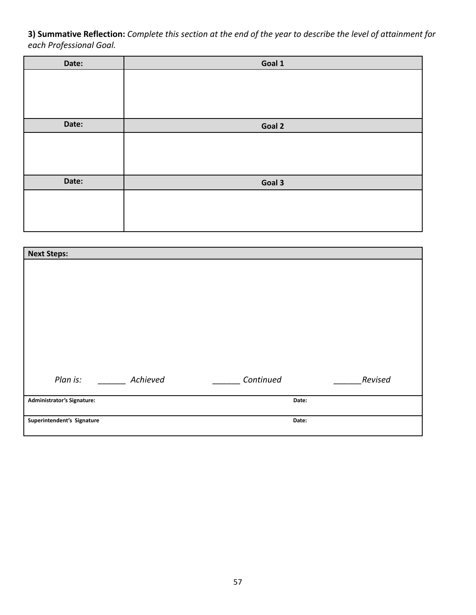**3) Summative Reflection:** *Complete this section at the end of the year to describe the level of attainment for each Professional Goal.*

| Date: | Goal 1 |
|-------|--------|
|       |        |
|       |        |
|       |        |
|       |        |
| Date: | Goal 2 |
|       |        |
|       |        |
|       |        |
|       |        |
| Date: | Goal 3 |
|       |        |
|       |        |
|       |        |
|       |        |

| <b>Next Steps:</b>                |           |         |
|-----------------------------------|-----------|---------|
|                                   |           |         |
|                                   |           |         |
|                                   |           |         |
|                                   |           |         |
|                                   |           |         |
|                                   |           |         |
|                                   |           |         |
|                                   |           |         |
| Achieved<br>Plan is:              | Continued | Revised |
| <b>Administrator's Signature:</b> | Date:     |         |
|                                   |           |         |
| Superintendent's Signature        | Date:     |         |
|                                   |           |         |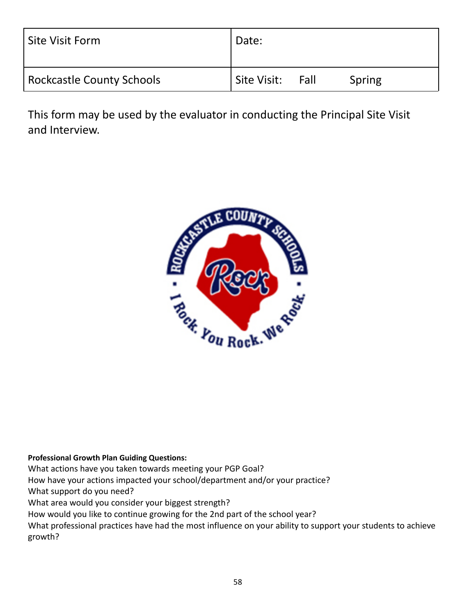| Site Visit Form           | Date:              |        |
|---------------------------|--------------------|--------|
| Rockcastle County Schools | ' Site Visit: Fall | Spring |

This form may be used by the evaluator in conducting the Principal Site Visit and Interview.



#### **Professional Growth Plan Guiding Questions:**

What actions have you taken towards meeting your PGP Goal? How have your actions impacted your school/department and/or your practice? What support do you need? What area would you consider your biggest strength? How would you like to continue growing for the 2nd part of the school year? What professional practices have had the most influence on your ability to support your students to achieve growth?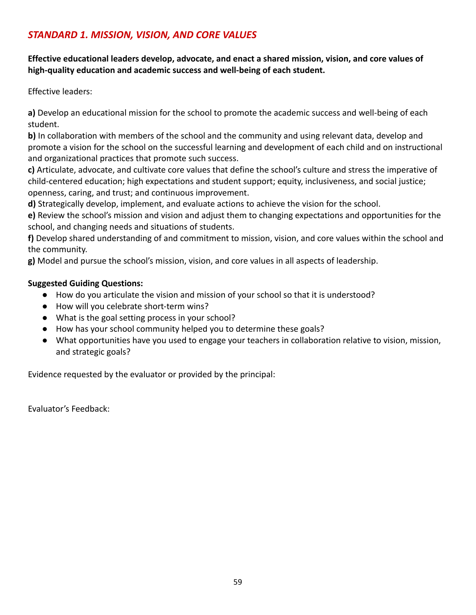## *STANDARD 1. MISSION, VISION, AND CORE VALUES*

**Effective educational leaders develop, advocate, and enact a shared mission, vision, and core values of high-quality education and academic success and well-being of each student.**

Effective leaders:

**a)** Develop an educational mission for the school to promote the academic success and well-being of each student.

**b**) In collaboration with members of the school and the community and using relevant data, develop and promote a vision for the school on the successful learning and development of each child and on instructional and organizational practices that promote such success.

**c)** Articulate, advocate, and cultivate core values that define the school's culture and stress the imperative of child-centered education; high expectations and student support; equity, inclusiveness, and social justice; openness, caring, and trust; and continuous improvement.

**d)** Strategically develop, implement, and evaluate actions to achieve the vision for the school.

**e)** Review the school's mission and vision and adjust them to changing expectations and opportunities for the school, and changing needs and situations of students.

**f)** Develop shared understanding of and commitment to mission, vision, and core values within the school and the community.

**g)** Model and pursue the school's mission, vision, and core values in all aspects of leadership.

## **Suggested Guiding Questions:**

- How do you articulate the vision and mission of your school so that it is understood?
- How will you celebrate short-term wins?
- What is the goal setting process in your school?
- How has your school community helped you to determine these goals?
- What opportunities have you used to engage your teachers in collaboration relative to vision, mission, and strategic goals?

Evidence requested by the evaluator or provided by the principal: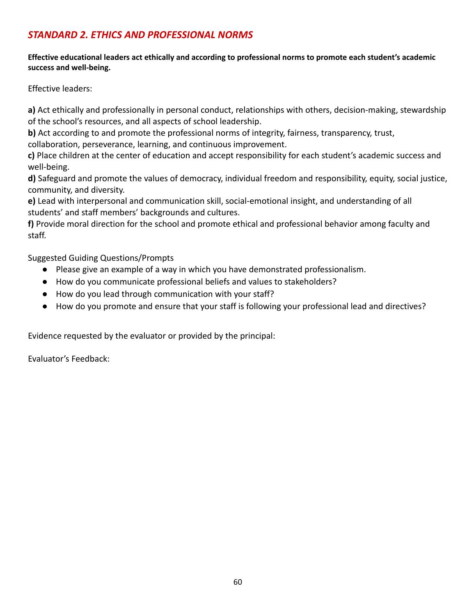## *STANDARD 2. ETHICS AND PROFESSIONAL NORMS*

**Effective educational leaders act ethically and according to professional norms to promote each student's academic success and well-being.**

Effective leaders:

**a)** Act ethically and professionally in personal conduct, relationships with others, decision-making, stewardship of the school's resources, and all aspects of school leadership.

**b)** Act according to and promote the professional norms of integrity, fairness, transparency, trust,

collaboration, perseverance, learning, and continuous improvement.

**c)** Place children at the center of education and accept responsibility for each student's academic success and well-being.

**d)** Safeguard and promote the values of democracy, individual freedom and responsibility, equity, social justice, community, and diversity.

**e)** Lead with interpersonal and communication skill, social-emotional insight, and understanding of all students' and staff members' backgrounds and cultures.

**f)** Provide moral direction for the school and promote ethical and professional behavior among faculty and staff.

Suggested Guiding Questions/Prompts

- Please give an example of a way in which you have demonstrated professionalism.
- How do you communicate professional beliefs and values to stakeholders?
- How do you lead through communication with your staff?
- How do you promote and ensure that your staff is following your professional lead and directives?

Evidence requested by the evaluator or provided by the principal: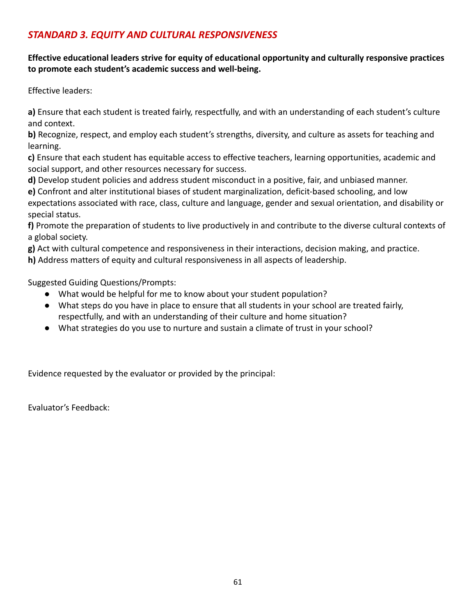## *STANDARD 3. EQUITY AND CULTURAL RESPONSIVENESS*

## **Effective educational leaders strive for equity of educational opportunity and culturally responsive practices to promote each student's academic success and well-being.**

Effective leaders:

**a)** Ensure that each student is treated fairly, respectfully, and with an understanding of each student's culture and context.

**b)** Recognize, respect, and employ each student's strengths, diversity, and culture as assets for teaching and learning.

**c)** Ensure that each student has equitable access to effective teachers, learning opportunities, academic and social support, and other resources necessary for success.

**d)** Develop student policies and address student misconduct in a positive, fair, and unbiased manner. **e)** Confront and alter institutional biases of student marginalization, deficit-based schooling, and low expectations associated with race, class, culture and language, gender and sexual orientation, and disability or special status.

**f)** Promote the preparation of students to live productively in and contribute to the diverse cultural contexts of a global society.

**g)** Act with cultural competence and responsiveness in their interactions, decision making, and practice.

**h)** Address matters of equity and cultural responsiveness in all aspects of leadership.

Suggested Guiding Questions/Prompts:

- What would be helpful for me to know about your student population?
- What steps do you have in place to ensure that all students in your school are treated fairly, respectfully, and with an understanding of their culture and home situation?
- What strategies do you use to nurture and sustain a climate of trust in your school?

Evidence requested by the evaluator or provided by the principal: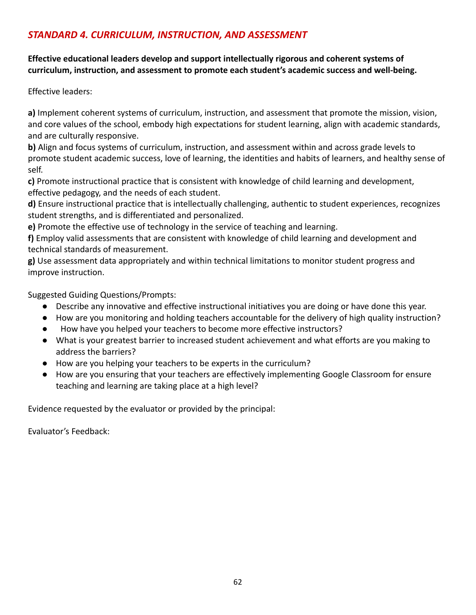## *STANDARD 4. CURRICULUM, INSTRUCTION, AND ASSESSMENT*

## **Effective educational leaders develop and support intellectually rigorous and coherent systems of curriculum, instruction, and assessment to promote each student's academic success and well-being.**

Effective leaders:

**a)** Implement coherent systems of curriculum, instruction, and assessment that promote the mission, vision, and core values of the school, embody high expectations for student learning, align with academic standards, and are culturally responsive.

**b)** Align and focus systems of curriculum, instruction, and assessment within and across grade levels to promote student academic success, love of learning, the identities and habits of learners, and healthy sense of self.

**c)** Promote instructional practice that is consistent with knowledge of child learning and development, effective pedagogy, and the needs of each student.

**d)** Ensure instructional practice that is intellectually challenging, authentic to student experiences, recognizes student strengths, and is differentiated and personalized.

**e)** Promote the effective use of technology in the service of teaching and learning.

**f)** Employ valid assessments that are consistent with knowledge of child learning and development and technical standards of measurement.

**g)** Use assessment data appropriately and within technical limitations to monitor student progress and improve instruction.

Suggested Guiding Questions/Prompts:

- Describe any innovative and effective instructional initiatives you are doing or have done this year.
- How are you monitoring and holding teachers accountable for the delivery of high quality instruction?
- How have you helped your teachers to become more effective instructors?
- What is your greatest barrier to increased student achievement and what efforts are you making to address the barriers?
- How are you helping your teachers to be experts in the curriculum?
- How are you ensuring that your teachers are effectively implementing Google Classroom for ensure teaching and learning are taking place at a high level?

Evidence requested by the evaluator or provided by the principal: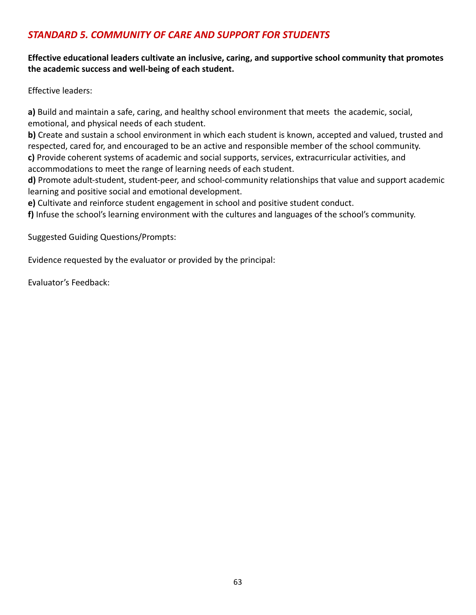## *STANDARD 5. COMMUNITY OF CARE AND SUPPORT FOR STUDENTS*

## **Effective educational leaders cultivate an inclusive, caring, and supportive school community that promotes the academic success and well-being of each student.**

Effective leaders:

**a)** Build and maintain a safe, caring, and healthy school environment that meets the academic, social, emotional, and physical needs of each student.

**b)** Create and sustain a school environment in which each student is known, accepted and valued, trusted and respected, cared for, and encouraged to be an active and responsible member of the school community.

**c)** Provide coherent systems of academic and social supports, services, extracurricular activities, and accommodations to meet the range of learning needs of each student.

**d)** Promote adult-student, student-peer, and school-community relationships that value and support academic learning and positive social and emotional development.

**e)** Cultivate and reinforce student engagement in school and positive student conduct.

**f)** Infuse the school's learning environment with the cultures and languages of the school's community.

Suggested Guiding Questions/Prompts:

Evidence requested by the evaluator or provided by the principal: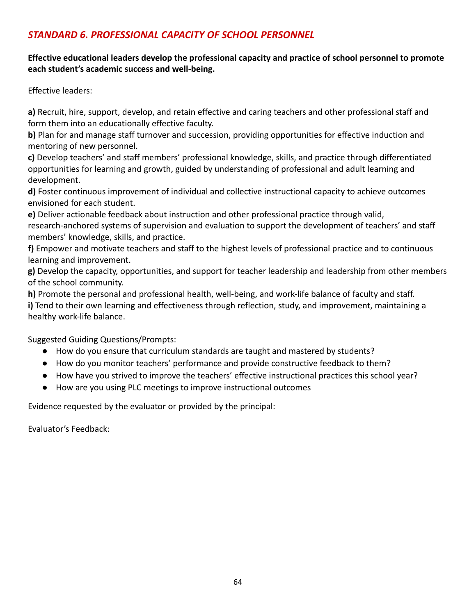## *STANDARD 6. PROFESSIONAL CAPACITY OF SCHOOL PERSONNEL*

## **Effective educational leaders develop the professional capacity and practice of school personnel to promote each student's academic success and well-being.**

Effective leaders:

**a)** Recruit, hire, support, develop, and retain effective and caring teachers and other professional staff and form them into an educationally effective faculty.

**b)** Plan for and manage staff turnover and succession, providing opportunities for effective induction and mentoring of new personnel.

**c)** Develop teachers' and staff members' professional knowledge, skills, and practice through differentiated opportunities for learning and growth, guided by understanding of professional and adult learning and development.

**d)** Foster continuous improvement of individual and collective instructional capacity to achieve outcomes envisioned for each student.

**e)** Deliver actionable feedback about instruction and other professional practice through valid, research-anchored systems of supervision and evaluation to support the development of teachers' and staff members' knowledge, skills, and practice.

**f)** Empower and motivate teachers and staff to the highest levels of professional practice and to continuous learning and improvement.

**g)** Develop the capacity, opportunities, and support for teacher leadership and leadership from other members of the school community.

**h)** Promote the personal and professional health, well-being, and work-life balance of faculty and staff. **i)** Tend to their own learning and effectiveness through reflection, study, and improvement, maintaining a healthy work-life balance.

Suggested Guiding Questions/Prompts:

- How do you ensure that curriculum standards are taught and mastered by students?
- How do you monitor teachers' performance and provide constructive feedback to them?
- How have you strived to improve the teachers' effective instructional practices this school year?
- How are you using PLC meetings to improve instructional outcomes

Evidence requested by the evaluator or provided by the principal: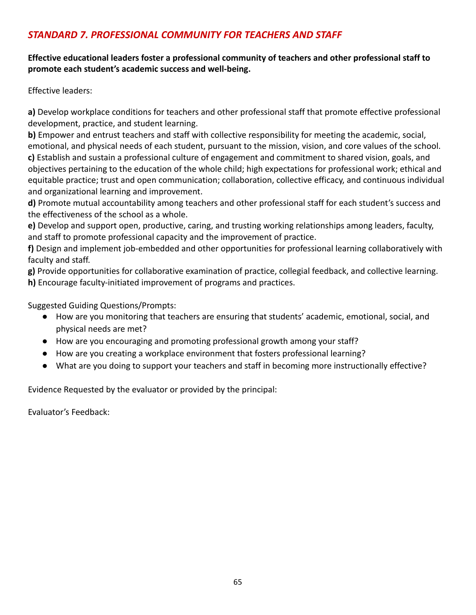## *STANDARD 7. PROFESSIONAL COMMUNITY FOR TEACHERS AND STAFF*

## **Effective educational leaders foster a professional community of teachers and other professional staff to promote each student's academic success and well-being.**

Effective leaders:

**a)** Develop workplace conditions for teachers and other professional staff that promote effective professional development, practice, and student learning.

**b**) Empower and entrust teachers and staff with collective responsibility for meeting the academic, social, emotional, and physical needs of each student, pursuant to the mission, vision, and core values of the school. **c)** Establish and sustain a professional culture of engagement and commitment to shared vision, goals, and objectives pertaining to the education of the whole child; high expectations for professional work; ethical and equitable practice; trust and open communication; collaboration, collective efficacy, and continuous individual and organizational learning and improvement.

**d)** Promote mutual accountability among teachers and other professional staff for each student's success and the effectiveness of the school as a whole.

**e)** Develop and support open, productive, caring, and trusting working relationships among leaders, faculty, and staff to promote professional capacity and the improvement of practice.

**f)** Design and implement job-embedded and other opportunities for professional learning collaboratively with faculty and staff.

**g)** Provide opportunities for collaborative examination of practice, collegial feedback, and collective learning. **h)** Encourage faculty-initiated improvement of programs and practices.

Suggested Guiding Questions/Prompts:

- How are you monitoring that teachers are ensuring that students' academic, emotional, social, and physical needs are met?
- How are you encouraging and promoting professional growth among your staff?
- How are you creating a workplace environment that fosters professional learning?
- What are you doing to support your teachers and staff in becoming more instructionally effective?

Evidence Requested by the evaluator or provided by the principal: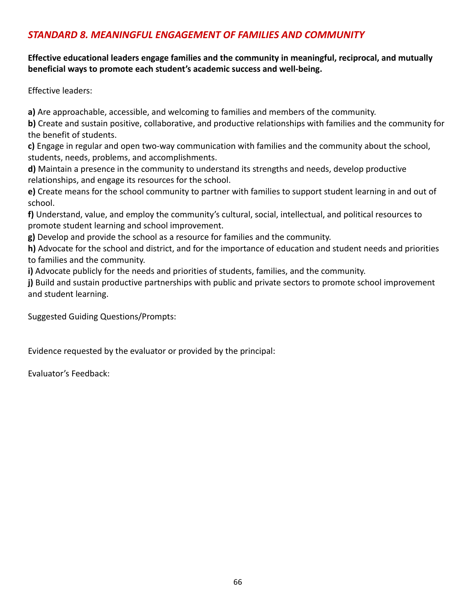## *STANDARD 8. MEANINGFUL ENGAGEMENT OF FAMILIES AND COMMUNITY*

## **Effective educational leaders engage families and the community in meaningful, reciprocal, and mutually beneficial ways to promote each student's academic success and well-being.**

Effective leaders:

**a)** Are approachable, accessible, and welcoming to families and members of the community.

**b)** Create and sustain positive, collaborative, and productive relationships with families and the community for the benefit of students.

**c)** Engage in regular and open two-way communication with families and the community about the school, students, needs, problems, and accomplishments.

**d)** Maintain a presence in the community to understand its strengths and needs, develop productive relationships, and engage its resources for the school.

**e)** Create means for the school community to partner with families to support student learning in and out of school.

**f)** Understand, value, and employ the community's cultural, social, intellectual, and political resources to promote student learning and school improvement.

**g)** Develop and provide the school as a resource for families and the community.

**h)** Advocate for the school and district, and for the importance of education and student needs and priorities to families and the community.

**i)** Advocate publicly for the needs and priorities of students, families, and the community.

**j)** Build and sustain productive partnerships with public and private sectors to promote school improvement and student learning.

Suggested Guiding Questions/Prompts:

Evidence requested by the evaluator or provided by the principal: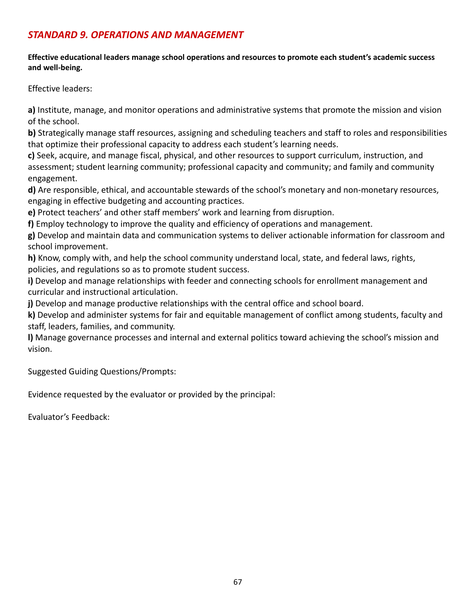## *STANDARD 9. OPERATIONS AND MANAGEMENT*

**Effective educational leaders manage school operations and resources to promote each student's academic success and well-being.**

Effective leaders:

**a)** Institute, manage, and monitor operations and administrative systems that promote the mission and vision of the school.

**b)** Strategically manage staff resources, assigning and scheduling teachers and staff to roles and responsibilities that optimize their professional capacity to address each student's learning needs.

**c)** Seek, acquire, and manage fiscal, physical, and other resources to support curriculum, instruction, and assessment; student learning community; professional capacity and community; and family and community engagement.

**d)** Are responsible, ethical, and accountable stewards of the school's monetary and non-monetary resources, engaging in effective budgeting and accounting practices.

**e)** Protect teachers' and other staff members' work and learning from disruption.

**f)** Employ technology to improve the quality and efficiency of operations and management.

**g)** Develop and maintain data and communication systems to deliver actionable information for classroom and school improvement.

**h)** Know, comply with, and help the school community understand local, state, and federal laws, rights, policies, and regulations so as to promote student success.

**i)** Develop and manage relationships with feeder and connecting schools for enrollment management and curricular and instructional articulation.

**j)** Develop and manage productive relationships with the central office and school board.

**k)** Develop and administer systems for fair and equitable management of conflict among students, faculty and staff, leaders, families, and community.

**l)** Manage governance processes and internal and external politics toward achieving the school's mission and vision.

Suggested Guiding Questions/Prompts:

Evidence requested by the evaluator or provided by the principal: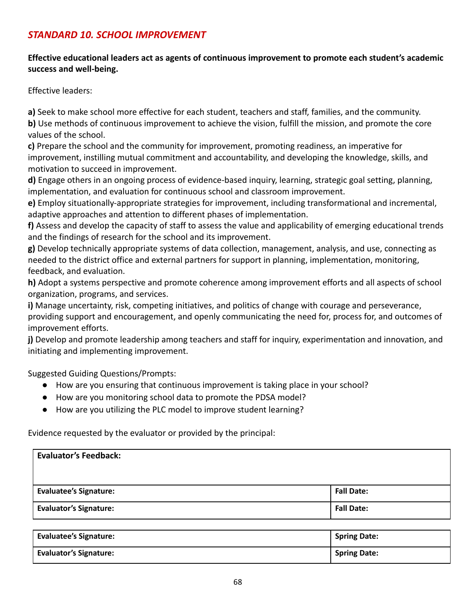## *STANDARD 10. SCHOOL IMPROVEMENT*

## **Effective educational leaders act as agents of continuous improvement to promote each student's academic success and well-being.**

Effective leaders:

**a)** Seek to make school more effective for each student, teachers and staff, families, and the community.

**b)** Use methods of continuous improvement to achieve the vision, fulfill the mission, and promote the core values of the school.

**c)** Prepare the school and the community for improvement, promoting readiness, an imperative for improvement, instilling mutual commitment and accountability, and developing the knowledge, skills, and motivation to succeed in improvement.

**d)** Engage others in an ongoing process of evidence-based inquiry, learning, strategic goal setting, planning, implementation, and evaluation for continuous school and classroom improvement.

**e)** Employ situationally-appropriate strategies for improvement, including transformational and incremental, adaptive approaches and attention to different phases of implementation.

**f)** Assess and develop the capacity of staff to assess the value and applicability of emerging educational trends and the findings of research for the school and its improvement.

**g)** Develop technically appropriate systems of data collection, management, analysis, and use, connecting as needed to the district office and external partners for support in planning, implementation, monitoring, feedback, and evaluation.

**h)** Adopt a systems perspective and promote coherence among improvement efforts and all aspects of school organization, programs, and services.

**i)** Manage uncertainty, risk, competing initiatives, and politics of change with courage and perseverance, providing support and encouragement, and openly communicating the need for, process for, and outcomes of improvement efforts.

**j)** Develop and promote leadership among teachers and staff for inquiry, experimentation and innovation, and initiating and implementing improvement.

Suggested Guiding Questions/Prompts:

- How are you ensuring that continuous improvement is taking place in your school?
- How are you monitoring school data to promote the PDSA model?
- How are you utilizing the PLC model to improve student learning?

Evidence requested by the evaluator or provided by the principal:

| <b>Evaluator's Feedback:</b>  |                   |
|-------------------------------|-------------------|
| <b>Evaluatee's Signature:</b> | <b>Fall Date:</b> |
|                               |                   |
| <b>Evaluator's Signature:</b> | <b>Fall Date:</b> |

| Evaluatee's Signature: | <b>Spring Date:</b> |
|------------------------|---------------------|
| Evaluator's Signature: | <b>Spring Date:</b> |